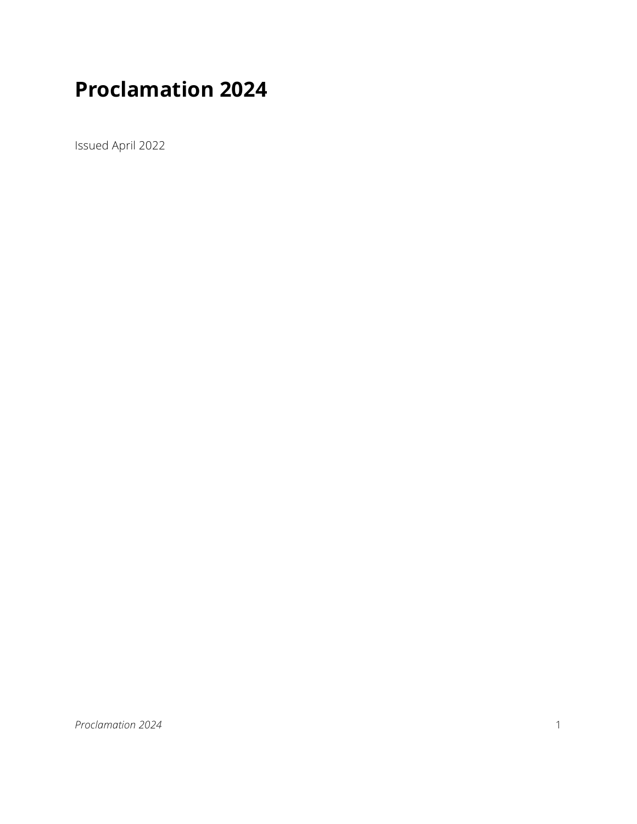# **Proclamation 2024**

Issued April 2022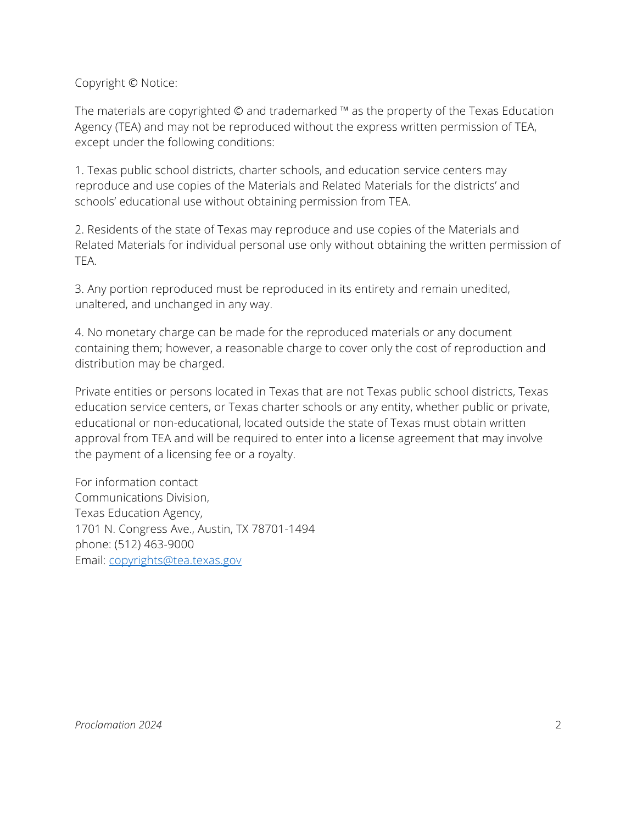Copyright © Notice:

The materials are copyrighted © and trademarked ™ as the property of the Texas Education Agency (TEA) and may not be reproduced without the express written permission of TEA, except under the following conditions:

1. Texas public school districts, charter schools, and education service centers may reproduce and use copies of the Materials and Related Materials for the districts' and schools' educational use without obtaining permission from TEA.

2. Residents of the state of Texas may reproduce and use copies of the Materials and Related Materials for individual personal use only without obtaining the written permission of TEA.

3. Any portion reproduced must be reproduced in its entirety and remain unedited, unaltered, and unchanged in any way.

4. No monetary charge can be made for the reproduced materials or any document containing them; however, a reasonable charge to cover only the cost of reproduction and distribution may be charged.

Private entities or persons located in Texas that are not Texas public school districts, Texas education service centers, or Texas charter schools or any entity, whether public or private, educational or non-educational, located outside the state of Texas must obtain written approval from TEA and will be required to enter into a license agreement that may involve the payment of a licensing fee or a royalty.

For information contact Communications Division, Texas Education Agency, 1701 N. Congress Ave., Austin, TX 78701-1494 phone: (512) 463-9000 Email: [copyrights@tea.texas.gov](mailto:copyrights@tea.texas.gov)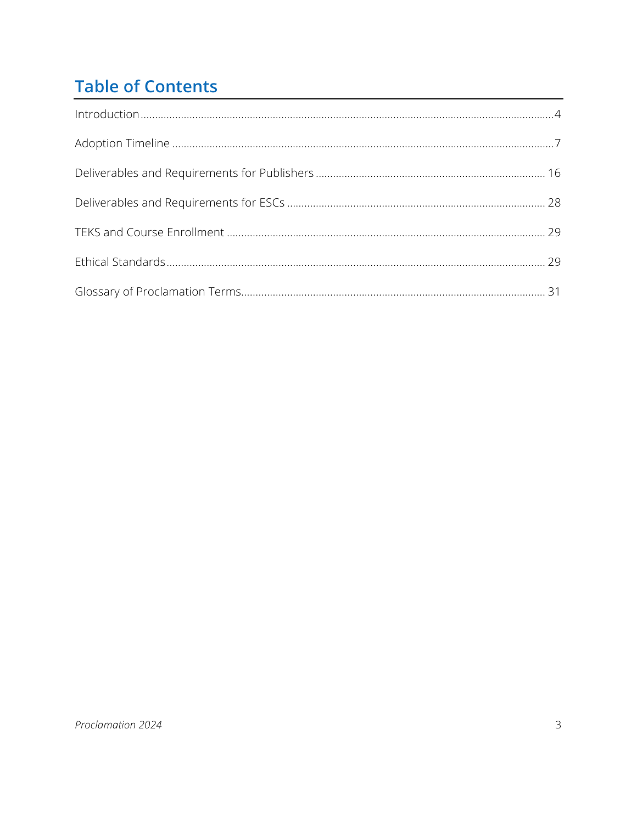# **Table of Contents**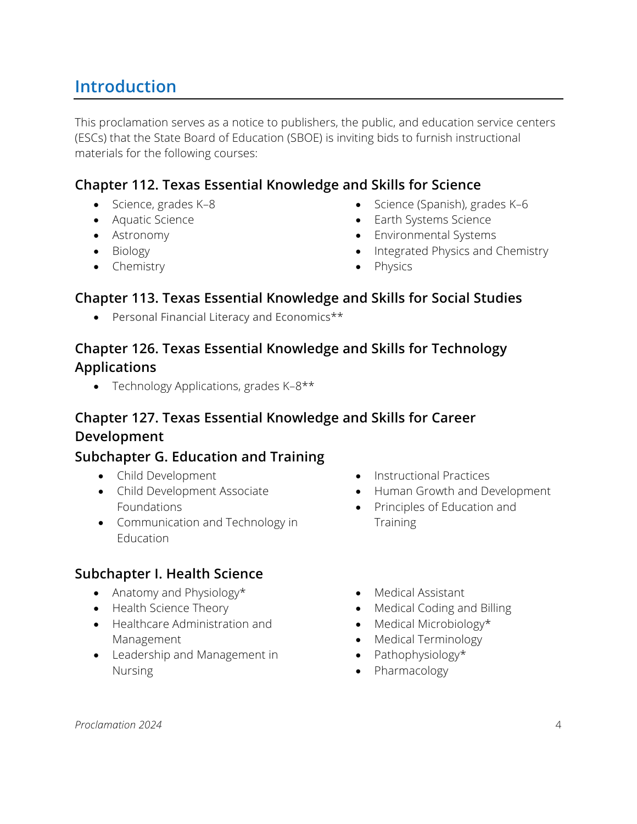# <span id="page-3-0"></span>**Introduction**

This proclamation serves as a notice to publishers, the public, and education service centers (ESCs) that the State Board of Education (SBOE) is inviting bids to furnish instructional materials for the following courses:

## **Chapter 112. Texas Essential Knowledge and Skills for Science**

- 
- Aquatic Science
- Astronomy
- Biology
- Chemistry
- Science, grades K–8 Science (Spanish), grades K–6
	- Earth Systems Science
	- Environmental Systems
	- Integrated Physics and Chemistry
	- **Physics**

### **Chapter 113. Texas Essential Knowledge and Skills for Social Studies**

• Personal Financial Literacy and Economics\*\*

## **Chapter 126. Texas Essential Knowledge and Skills for Technology Applications**

• Technology Applications, grades K-8\*\*

### **Chapter 127. Texas Essential Knowledge and Skills for Career Development**

### **Subchapter G. Education and Training**

- Child Development
- Child Development Associate Foundations
- Communication and Technology in Education

### **Subchapter I. Health Science**

- Anatomy and Physiology\*
- Health Science Theory
- Healthcare Administration and Management
- Leadership and Management in Nursing
- Instructional Practices
- Human Growth and Development
- Principles of Education and **Training**
- Medical Assistant
- Medical Coding and Billing
- Medical Microbiology\*
- Medical Terminology
- Pathophysiology\*
- Pharmacology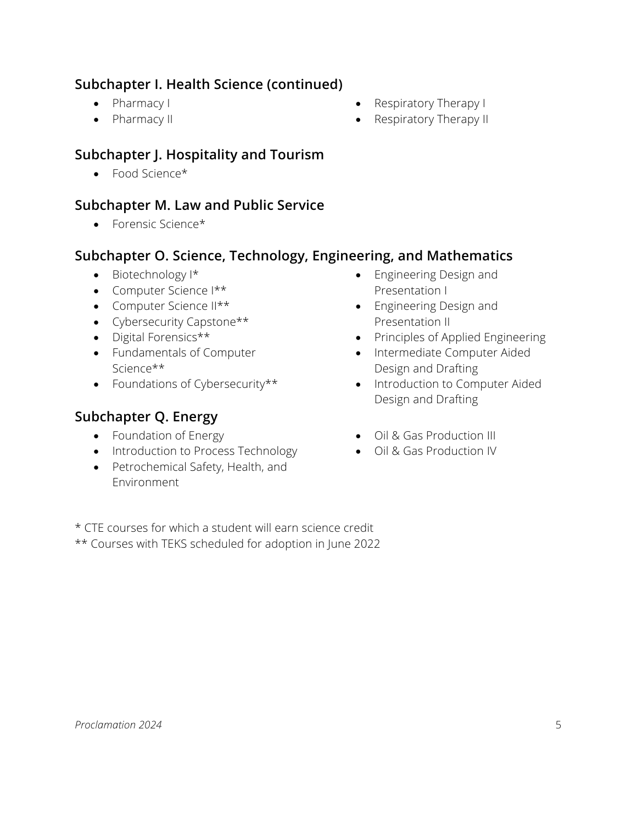## **Subchapter I. Health Science (continued)**

- Pharmacy I
- Pharmacy II
- Respiratory Therapy I
- Respiratory Therapy II

# **Subchapter J. Hospitality and Tourism**

• Food Science\*

# **Subchapter M. Law and Public Service**

• Forensic Science\*

### **Subchapter O. Science, Technology, Engineering, and Mathematics**

- Biotechnology I\*
- Computer Science I\*\*
- Computer Science II\*\*
- Cybersecurity Capstone\*\*
- Digital Forensics\*\*
- Fundamentals of Computer Science\*\*
- Foundations of Cybersecurity\*\*

# **Subchapter Q. Energy**

- Foundation of Energy
- Introduction to Process Technology
- Petrochemical Safety, Health, and Environment
- Engineering Design and Presentation I
- Engineering Design and Presentation II
- Principles of Applied Engineering
- Intermediate Computer Aided Design and Drafting
- Introduction to Computer Aided Design and Drafting
- Oil & Gas Production III
- Oil & Gas Production IV

\* CTE courses for which a student will earn science credit \*\* Courses with TEKS scheduled for adoption in June 2022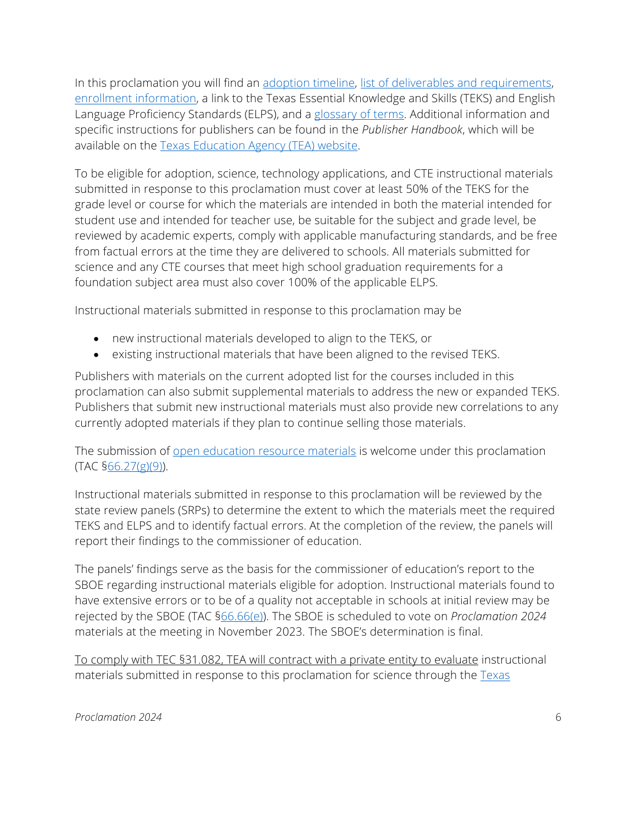In this proclamation you will find an adoption timeline, list of deliverables and requirements, enrollment information, a link to the Texas Essential Knowledge and Skills (TEKS) and English Language Proficiency Standards (ELPS), and a glossary of terms. Additional information and specific instructions for publishers can be found in the *Publisher Handbook*, which will be available on the [Texas Education Agency \(TEA\) website.](https://tea.texas.gov/Academics/Instructional_Materials/Review_and_Adoption_Process/Publisher_Portal/)

To be eligible for adoption, science, technology applications, and CTE instructional materials submitted in response to this proclamation must cover at least 50% of the TEKS for the grade level or course for which the materials are intended in both the material intended for student use and intended for teacher use, be suitable for the subject and grade level, be reviewed by academic experts, comply with applicable manufacturing standards, and be free from factual errors at the time they are delivered to schools. All materials submitted for science and any CTE courses that meet high school graduation requirements for a foundation subject area must also cover 100% of the applicable ELPS.

Instructional materials submitted in response to this proclamation may be

- new instructional materials developed to align to the TEKS, or
- existing instructional materials that have been aligned to the revised TEKS.

Publishers with materials on the current adopted list for the courses included in this proclamation can also submit supplemental materials to address the new or expanded TEKS. Publishers that submit new instructional materials must also provide new correlations to any currently adopted materials if they plan to continue selling those materials.

The submission of open education [resource materials](https://tea.texas.gov/Academics/Instructional_Materials/Open-Educational-Resource_Instructional_Materials) is welcome under this proclamation (TAC [§66.27\(g\)\(9\)\)](https://texreg.sos.state.tx.us/public/readtac$ext.TacPage?sl=R&app=9&p_dir=&p_rloc=&p_tloc=&p_ploc=&pg=1&p_tac=&ti=19&pt=2&ch=66&rl=27).

Instructional materials submitted in response to this proclamation will be reviewed by the state review panels (SRPs) to determine the extent to which the materials meet the required TEKS and ELPS and to identify factual errors. At the completion of the review, the panels will report their findings to the commissioner of education.

The panels' findings serve as the basis for the commissioner of education's report to the SBOE regarding instructional materials eligible for adoption. Instructional materials found to have extensive errors or to be of a quality not acceptable in schools at initial review may be rejected by the SBOE (TAC [§66.66\(e\)\)](https://texreg.sos.state.tx.us/public/readtac$ext.TacPage?sl=R&app=9&p_dir=&p_rloc=&p_tloc=&p_ploc=&pg=1&p_tac=&ti=19&pt=2&ch=66&rl=66). The SBOE is scheduled to vote on *Proclamation 2024* materials at the meeting in November 2023. The SBOE's determination is final.

To comply with TEC §31.082, TEA will contract with a private entity to evaluate instructional materials submitted in response to this proclamation for science through the [Texas](https://nam10.safelinks.protection.outlook.com/?url=http%3A%2F%2Ftexasresourcereview.org%2F&data=04%7C01%7CCheryl.Aker%40tea.texas.gov%7C8187f325eb974a42797d08d8963c63c5%7C65d6b3c3723648189613248dbd713a6f%7C0%7C0%7C637424533394814004%7CUnknown%7CTWFpbGZsb3d8eyJWIjoiMC4wLjAwMDAiLCJQIjoiV2luMzIiLCJBTiI6Ik1haWwiLCJXVCI6Mn0%3D%7C1000&sdata=m7FZhRq7SavOSISS3crEIGYdOVPZkhzpgjNekfx%2FT5M%3D&reserved=0)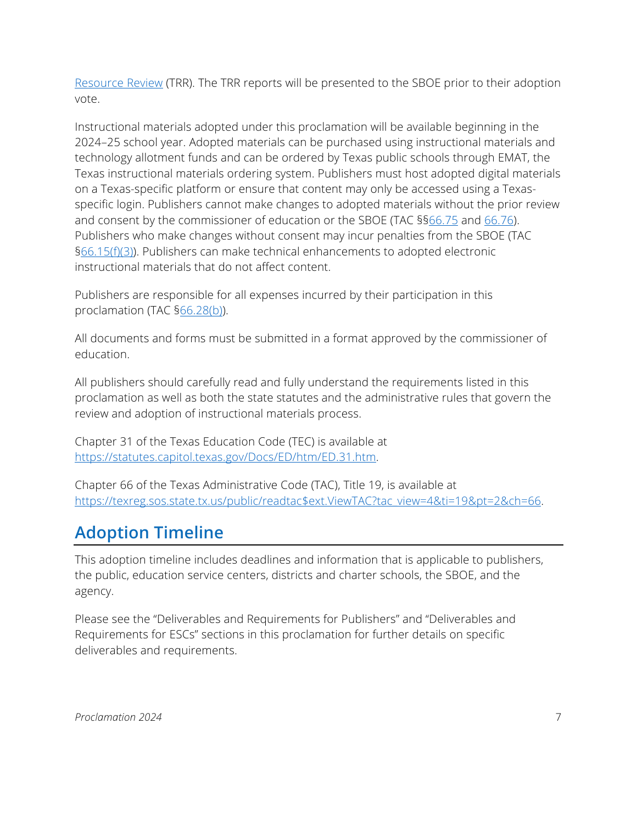[Resource Review](https://nam10.safelinks.protection.outlook.com/?url=http%3A%2F%2Ftexasresourcereview.org%2F&data=04%7C01%7CCheryl.Aker%40tea.texas.gov%7C8187f325eb974a42797d08d8963c63c5%7C65d6b3c3723648189613248dbd713a6f%7C0%7C0%7C637424533394814004%7CUnknown%7CTWFpbGZsb3d8eyJWIjoiMC4wLjAwMDAiLCJQIjoiV2luMzIiLCJBTiI6Ik1haWwiLCJXVCI6Mn0%3D%7C1000&sdata=m7FZhRq7SavOSISS3crEIGYdOVPZkhzpgjNekfx%2FT5M%3D&reserved=0) (TRR). The TRR reports will be presented to the SBOE prior to their adoption vote.

Instructional materials adopted under this proclamation will be available beginning in the 2024–25 school year. Adopted materials can be purchased using instructional materials and technology allotment funds and can be ordered by Texas public schools through EMAT, the Texas instructional materials ordering system. Publishers must host adopted digital materials on a Texas-specific platform or ensure that content may only be accessed using a Texasspecific login. Publishers cannot make changes to adopted materials without the prior review and consent by the commissioner of education or the SBOE (TAC §[§66.75](https://texreg.sos.state.tx.us/public/readtac$ext.TacPage?sl=R&app=9&p_dir=&p_rloc=&p_tloc=&p_ploc=&pg=1&p_tac=&ti=19&pt=2&ch=66&rl=75) and [66.76\)](https://texreg.sos.state.tx.us/public/readtac$ext.TacPage?sl=R&app=9&p_dir=&p_rloc=&p_tloc=&p_ploc=&pg=1&p_tac=&ti=19&pt=2&ch=66&rl=76). Publishers who make changes without consent may incur penalties from the SBOE (TAC [§66.15\(f\)\(3\)\)](https://texreg.sos.state.tx.us/public/readtac$ext.TacPage?sl=R&app=9&p_dir=&p_rloc=&p_tloc=&p_ploc=&pg=1&p_tac=&ti=19&pt=2&ch=66&rl=15). Publishers can make technical enhancements to adopted electronic instructional materials that do not affect content.

Publishers are responsible for all expenses incurred by their participation in this proclamation (TAC [§66.28\(b\)\)](https://texreg.sos.state.tx.us/public/readtac$ext.TacPage?sl=R&app=9&p_dir=&p_rloc=&p_tloc=&p_ploc=&pg=1&p_tac=&ti=19&pt=2&ch=66&rl=28).

All documents and forms must be submitted in a format approved by the commissioner of education.

All publishers should carefully read and fully understand the requirements listed in this proclamation as well as both the state statutes and the administrative rules that govern the review and adoption of instructional materials process.

Chapter 31 of the Texas Education Code (TEC) is available at [https://statutes.capitol.texas.gov/Docs/ED/htm/ED.31.htm.](https://statutes.capitol.texas.gov/Docs/ED/htm/ED.31.htm)

Chapter 66 of the Texas Administrative Code (TAC), Title 19, is available at https://texreg.sos.state.tx.us/public/readtac\$ext.ViewTAC?tac\_view=4&ti=19&pt=2&ch=66.

# <span id="page-6-0"></span>**Adoption Timeline**

This adoption timeline includes deadlines and information that is applicable to publishers, the public, education service centers, districts and charter schools, the SBOE, and the agency.

Please see the "Deliverables and Requirements for Publishers" and "Deliverables and Requirements for ESCs" sections in this proclamation for further details on specific deliverables and requirements.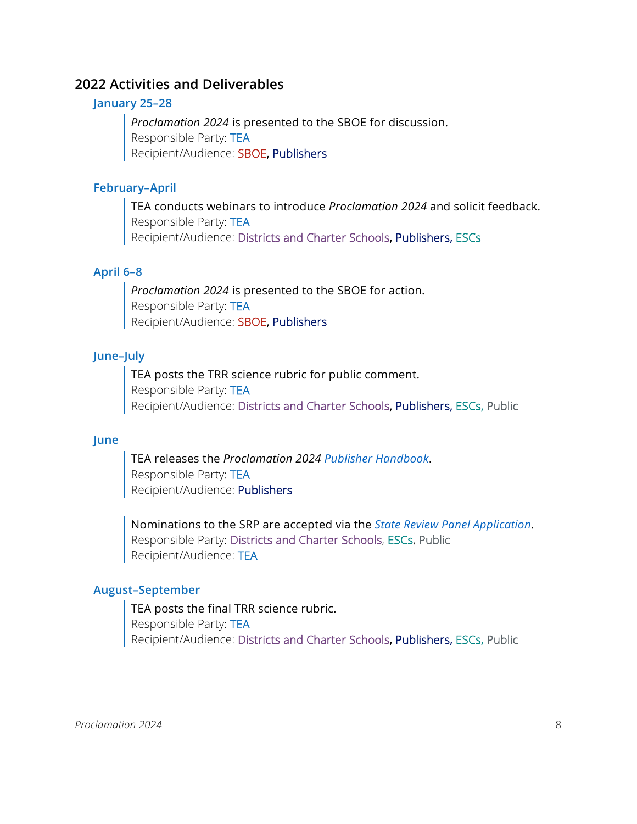### **2022 Activities and Deliverables**

#### **January 25–28**

*Proclamation 2024* is presented to the SBOE for discussion. Responsible Party: TEA Recipient/Audience: SBOE, Publishers

#### **February–April**

TEA conducts webinars to introduce *Proclamation 2024* and solicit feedback. Responsible Party: TEA Recipient/Audience: Districts and Charter Schools, Publishers, ESCs

### **April 6–8**

*Proclamation 2024* is presented to the SBOE for action. Responsible Party: TEA Recipient/Audience: SBOE, Publishers

#### **June–July**

TEA posts the TRR science rubric for public comment. Responsible Party: TEA Recipient/Audience: Districts and Charter Schools, Publishers, ESCs, Public

#### **June**

TEA releases the *Proclamation 2024 [Publisher Handbook](#page-36-0)*. Responsible Party: TEA Recipient/Audience: Publishers

Nominations to the SRP are accepted via the *[State Review Panel Application](#page-37-0)*. Responsible Party: Districts and Charter Schools, ESCs, Public Recipient/Audience: TEA

#### **August–September**

TEA posts the final TRR science rubric. Responsible Party: TEA Recipient/Audience: Districts and Charter Schools, Publishers, ESCs, Public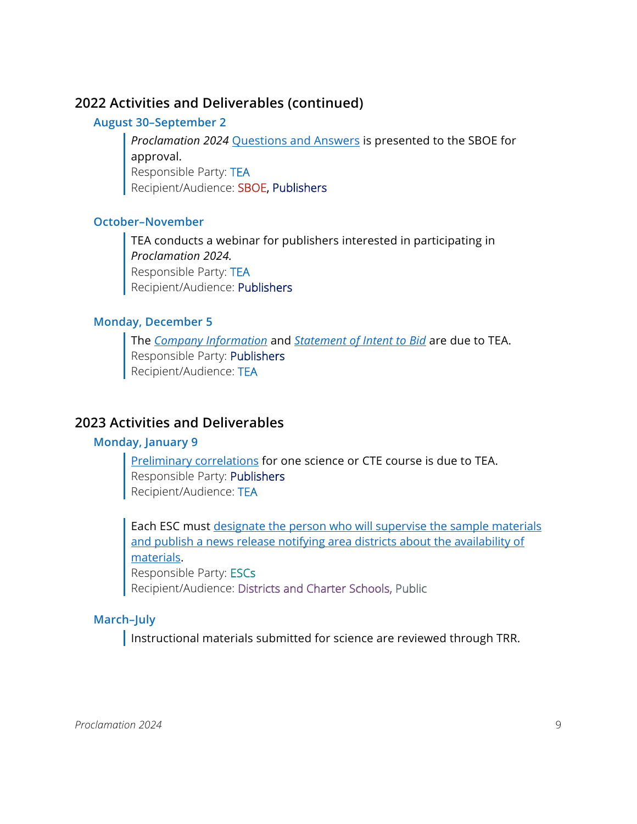### **August 30–September 2**

*Proclamation 2024* [Questions and Answers](#page-37-1) is presented to the SBOE for approval. Responsible Party: TEA Recipient/Audience: SBOE, Publishers

### **October–November**

TEA conducts a webinar for publishers interested in participating in *Proclamation 2024.* Responsible Party: TEA Recipient/Audience: Publishers

### **Monday, December 5**

The *[Company Information](#page-19-0)* and *[Statement of Intent to Bid](#page-25-0)* are due to TEA. Responsible Party: Publishers Recipient/Audience: TEA

### **2023 Activities and Deliverables**

#### **Monday, January 9**

[Preliminary correlations](#page-20-0) for one science or CTE course is due to TEA. Responsible Party: Publishers Recipient/Audience: TEA

Each ESC must designate the person who will supervise the sample materials [and publish a news release notifying area districts about the availability of](#page-27-1)  [materials.](#page-27-1) Responsible Party: ESCs

Recipient/Audience: Districts and Charter Schools, Public

### **March–July**

Instructional materials submitted for science are reviewed through TRR.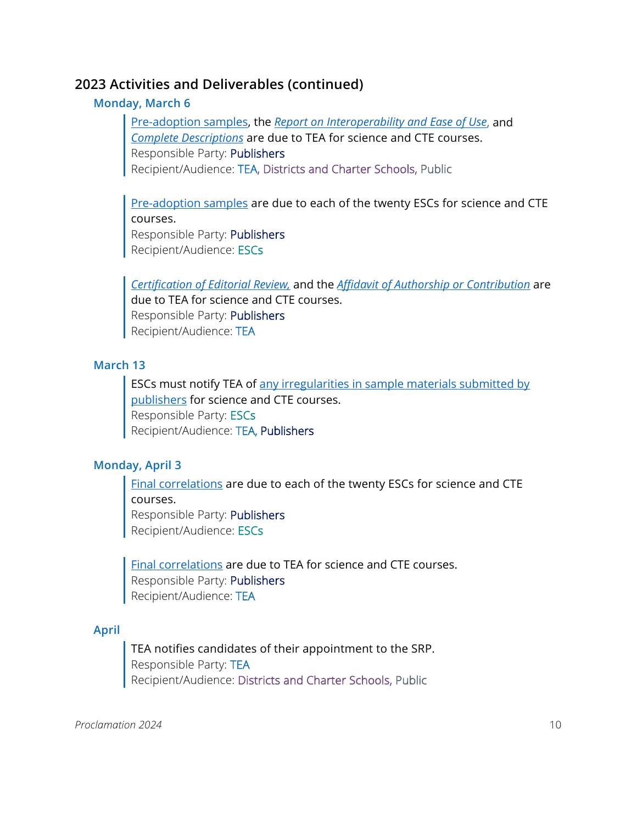#### **Monday, March 6**

[Pre-adoption samples,](#page-23-0) the *[Report on Interoperability and Ease of Use](#page-23-1)*, and *[Complete Descriptions](#page-20-1)* are due to TEA for science and CTE courses. Responsible Party: Publishers Recipient/Audience: TEA, Districts and Charter Schools, Public

[Pre-adoption samples](#page-23-0) are due to each of the twenty ESCs for science and CTE courses.

Responsible Party: Publishers Recipient/Audience: ESCs

*[Certification of Editorial Review,](#page-19-1)* and the *[Affidavit of Authorship or Contribution](#page-19-2)* are due to TEA for science and CTE courses. Responsible Party: Publishers Recipient/Audience: TEA

#### **March 13**

ESCs must notify TEA of [any irregularities in sample materials submitted by](#page-27-2)  [publishers](#page-27-2) for science and CTE courses. Responsible Party: ESCs Recipient/Audience: TEA, Publishers

### **Monday, April 3**

[Final correlations](#page-20-0) are due to each of the twenty ESCs for science and CTE courses.

Responsible Party: Publishers Recipient/Audience: ESCs

[Final correlations](#page-20-0) are due to TEA for science and CTE courses. Responsible Party: Publishers Recipient/Audience: TEA

#### **April**

TEA notifies candidates of their appointment to the SRP. Responsible Party: TEA Recipient/Audience: Districts and Charter Schools, Public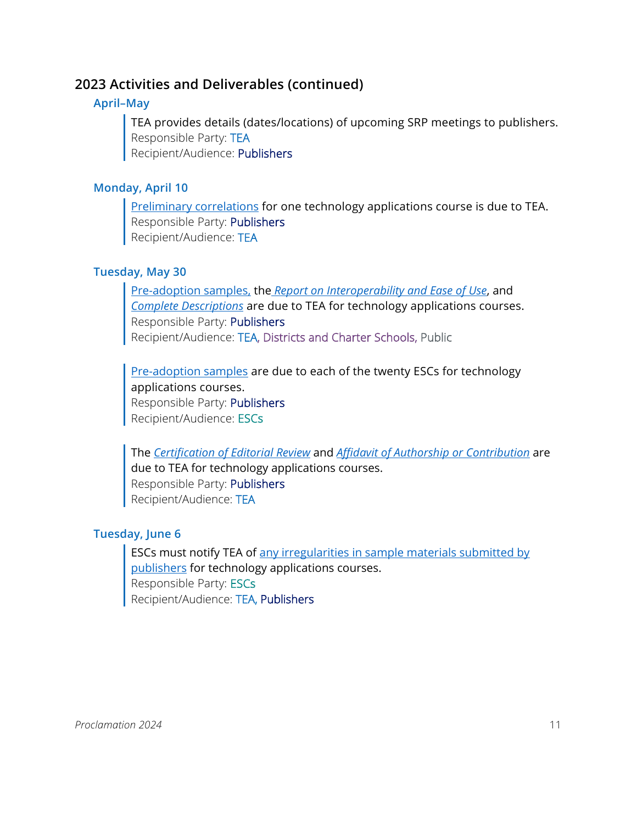### **April–May**

TEA provides details (dates/locations) of upcoming SRP meetings to publishers. Responsible Party: TEA Recipient/Audience: Publishers

### **Monday, April 10**

**[Preliminary correlations](#page-20-0) for one technology applications course is due to TEA.** Responsible Party: Publishers Recipient/Audience: TEA

### **Tuesday, May 30**

[Pre-adoption samples,](#page-23-0) the *[Report on Interoperability and Ease of Use](#page-23-1)*, and *[Complete Descriptions](#page-20-1)* are due to TEA for technology applications courses. Responsible Party: Publishers Recipient/Audience: TEA, Districts and Charter Schools, Public

[Pre-adoption samples](#page-23-0) are due to each of the twenty ESCs for technology applications courses. Responsible Party: Publishers Recipient/Audience: ESCs

The *[Certification of Editorial Review](#page-19-1)* and *[Affidavit of Authorship or Contribution](#page-19-2)* are due to TEA for technology applications courses. Responsible Party: Publishers Recipient/Audience: TEA

### **Tuesday, June 6**

ESCs must notify TEA of [any irregularities in sample materials submitted by](#page-27-2)  [publishers](#page-27-2) for technology applications courses. Responsible Party: ESCs Recipient/Audience: TEA, Publishers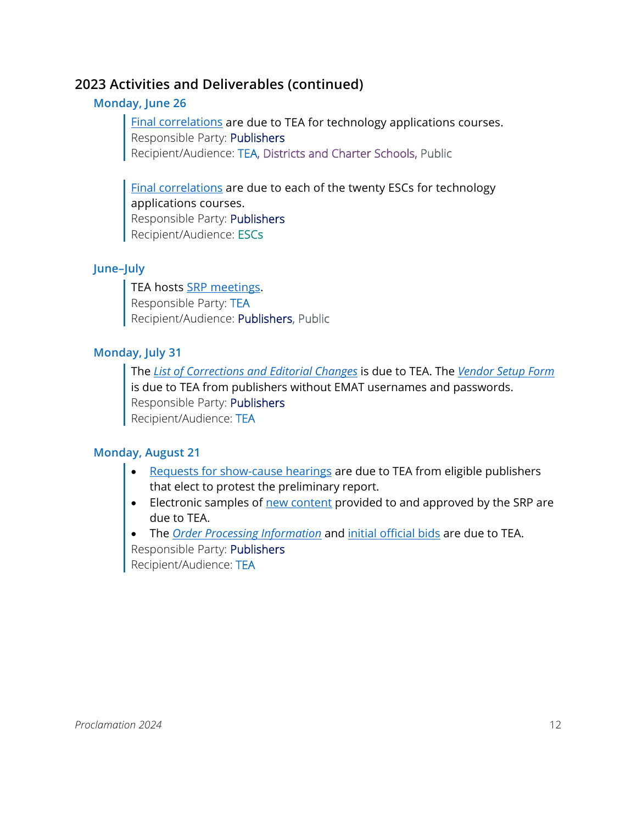### **Monday, June 26**

[Final correlations](#page-20-0) are due to TEA for technology applications courses. Responsible Party: Publishers Recipient/Audience: TEA, Districts and Charter Schools, Public

[Final correlations](#page-20-0) are due to each of the twenty ESCs for technology applications courses. Responsible Party: Publishers Recipient/Audience: ESCs

### **June–July**

TEA hosts [SRP meetings.](#page-37-2) Responsible Party: TEA Recipient/Audience: Publishers, Public

### **Monday, July 31**

The *[List of Corrections and Editorial Changes](#page-21-0)* is due to TEA. The *[Vendor Setup Form](#page-26-0)* is due to TEA from publishers without EMAT usernames and passwords. Responsible Party: Publishers Recipient/Audience: TEA

### **Monday, August 21**

- [Requests for show-cause hearings](#page-37-3) are due to TEA from eligible publishers that elect to protest the preliminary report.
- Electronic samples of new content provided to and approved by the SRP are due to TEA.
- The *[Order Processing Information](#page-23-2)* and [initial official bids](#page-22-0) are due to TEA. Responsible Party: Publishers Recipient/Audience: TEA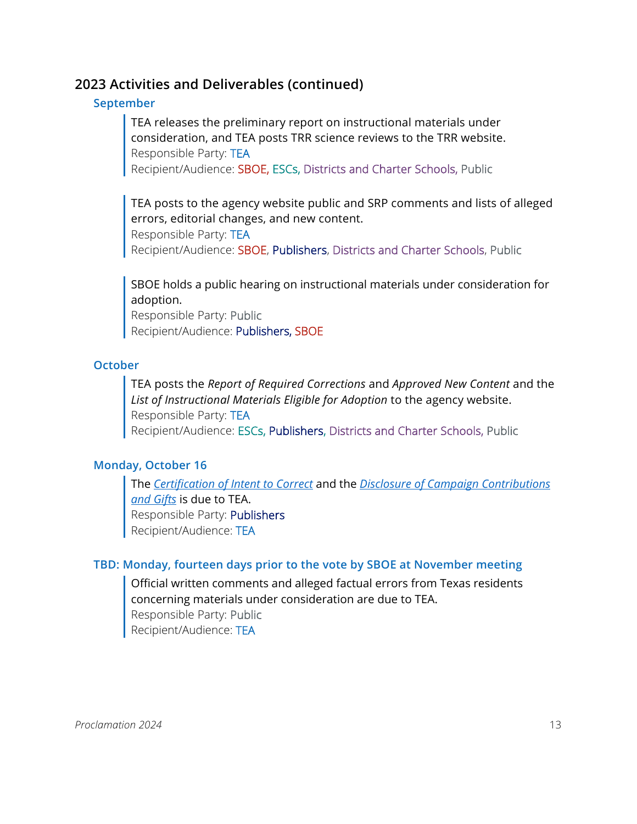#### **September**

TEA releases the preliminary report on instructional materials under consideration, and TEA posts TRR science reviews to the TRR website. Responsible Party: TEA

Recipient/Audience: SBOE, ESCs, Districts and Charter Schools, Public

TEA posts to the agency website public and SRP comments and lists of alleged errors, editorial changes, and new content. Responsible Party: TEA Recipient/Audience: SBOE, Publishers, Districts and Charter Schools, Public

SBOE holds a public hearing on instructional materials under consideration for adoption.

Responsible Party: Public Recipient/Audience: Publishers, SBOE

#### **October**

TEA posts the *Report of Required Corrections* and *Approved New Content* and the *List of Instructional Materials Eligible for Adoption* to the agency website. Responsible Party: TEA Recipient/Audience: ESCs, Publishers, Districts and Charter Schools, Public

#### **Monday, October 16**

The *[Certification of Intent to Correct](#page-19-3)* and the *[Disclosure of Campaign Contributions](#page-20-2)  [and Gifts](#page-20-2)* is due to TEA. Responsible Party: Publishers Recipient/Audience: TEA

#### **TBD: Monday, fourteen days prior to the vote by SBOE at November meeting**

Official written comments and alleged factual errors from Texas residents concerning materials under consideration are due to TEA. Responsible Party: Public Recipient/Audience: TEA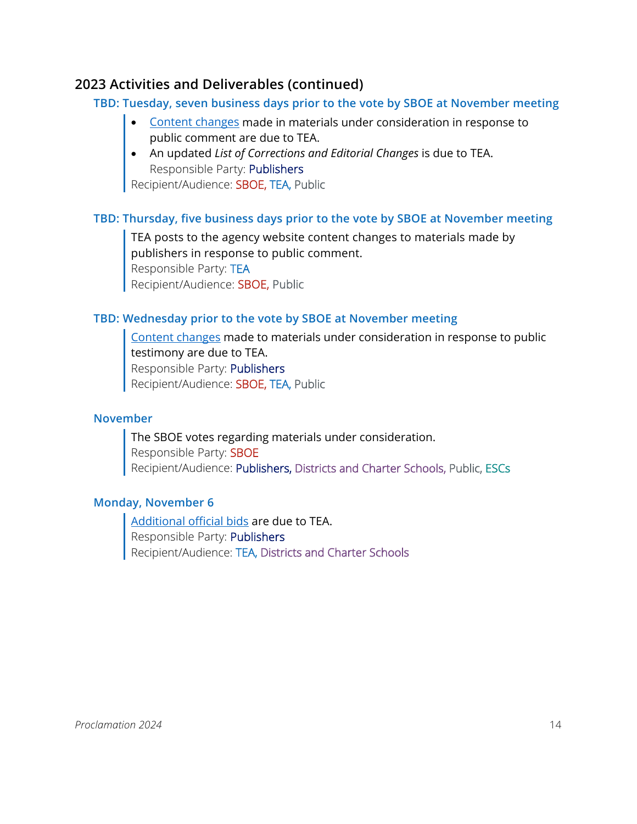#### **TBD: Tuesday, seven business days prior to the vote by SBOE at November meeting**

- [Content changes](#page-20-3) made in materials under consideration in response to public comment are due to TEA.
- An updated *List of Corrections and Editorial Changes* is due to TEA. Responsible Party: Publishers

Recipient/Audience: SBOE, TEA, Public

### **TBD: Thursday, five business days prior to the vote by SBOE at November meeting**

TEA posts to the agency website content changes to materials made by publishers in response to public comment. Responsible Party: TEA Recipient/Audience: SBOE, Public

### **TBD: Wednesday prior to the vote by SBOE at November meeting**

[Content changes](#page-20-3) made to materials under consideration in response to public testimony are due to TEA. Responsible Party: Publishers Recipient/Audience: SBOE, TEA, Public

#### **November**

The SBOE votes regarding materials under consideration. Responsible Party: SBOE Recipient/Audience: Publishers, Districts and Charter Schools, Public, ESCs

#### **Monday, November 6**

[Additional official bids](#page-22-0) are due to TEA. Responsible Party: Publishers Recipient/Audience: TEA, Districts and Charter Schools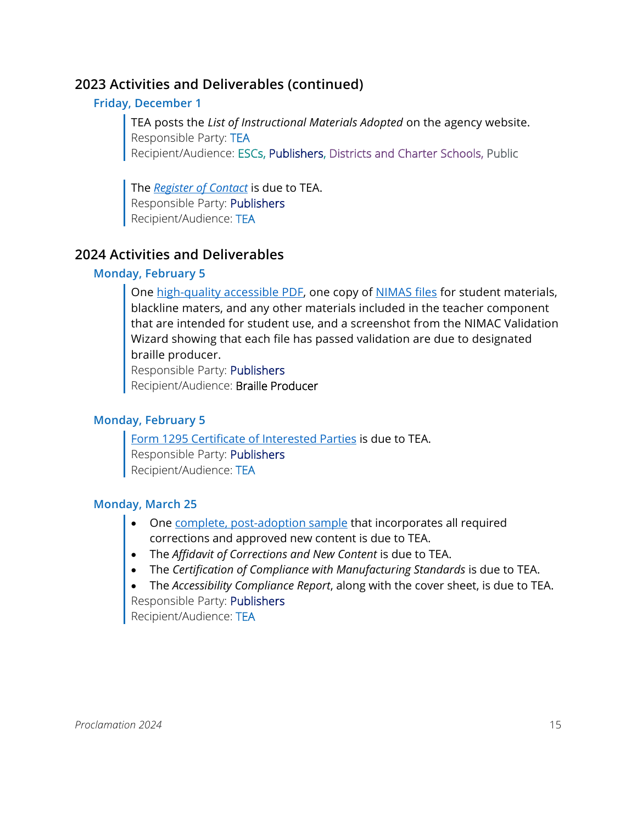### **Friday, December 1**

TEA posts the *List of Instructional Materials Adopted* on the agency website. Responsible Party: TEA Recipient/Audience: ESCs, Publishers, Districts and Charter Schools, Public

The *[Register of Contact](#page-23-3)* is due to TEA. Responsible Party: Publishers Recipient/Audience: TEA

### **2024 Activities and Deliverables**

### **Monday, February 5**

One [high-quality accessible PDF,](#page-21-1) one copy of [NIMAS files](#page-22-1) for student materials, blackline maters, and any other materials included in the teacher component that are intended for student use, and a screenshot from the NIMAC Validation Wizard showing that each file has passed validation are due to designated braille producer.

Responsible Party: Publishers

Recipient/Audience: Braille Producer

### **Monday, February 5**

[Form 1295 Certificate of Interested Parties](#page-21-2) is due to TEA. Responsible Party: Publishers Recipient/Audience: TEA

### **Monday, March 25**

- One [complete, post-adoption sample](#page-23-0) that incorporates all required corrections and approved new content is due to TEA.
- The *Affidavit of Corrections and New Content* is due to TEA.
- The *Certification of Compliance with Manufacturing Standards* is due to TEA.
- The *Accessibility Compliance Report*, along with the cover sheet, is due to TEA.

Responsible Party: Publishers Recipient/Audience: TEA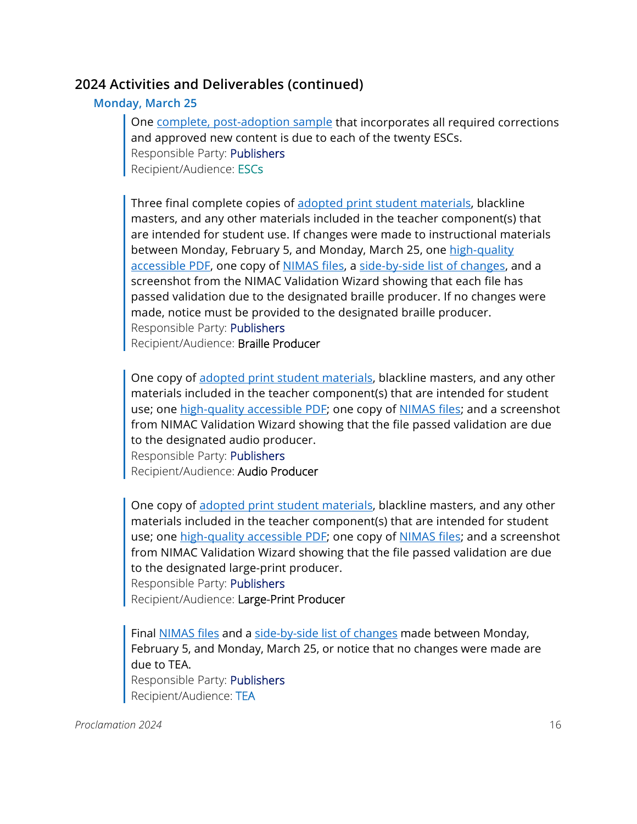#### **Monday, March 25**

One [complete, post-adoption sample](#page-23-0) that incorporates all required corrections and approved new content is due to each of the twenty ESCs. Responsible Party: Publishers Recipient/Audience: ESCs

Three final complete copies of adopted print student materials, blackline masters, and any other materials included in the teacher component(s) that are intended for student use. If changes were made to instructional materials between Monday, February 5, and Monday, March 25, one high-quality [accessible PDF,](#page-21-1) one copy of [NIMAS files,](#page-22-1) a [side-by-side list of changes,](#page-25-1) and a screenshot from the NIMAC Validation Wizard showing that each file has passed validation due to the designated braille producer. If no changes were made, notice must be provided to the designated braille producer. Responsible Party: Publishers Recipient/Audience: Braille Producer

One copy of adopted print student materials, blackline masters, and any other materials included in the teacher component(s) that are intended for student use; one [high-quality accessible PDF;](#page-21-1) one copy of [NIMAS files;](#page-22-1) and a screenshot from NIMAC Validation Wizard showing that the file passed validation are due to the designated audio producer. Responsible Party: Publishers

Recipient/Audience: Audio Producer

One copy of adopted print student materials, blackline masters, and any other materials included in the teacher component(s) that are intended for student use; one [high-quality accessible PDF;](#page-21-1) one copy of [NIMAS files;](#page-22-1) and a screenshot from NIMAC Validation Wizard showing that the file passed validation are due to the designated large-print producer. Responsible Party: Publishers

Recipient/Audience: Large-Print Producer

Final [NIMAS files](#page-22-1) and a [side-by-side list of changes](#page-25-1) made between Monday, February 5, and Monday, March 25, or notice that no changes were made are due to TEA. Responsible Party: Publishers Recipient/Audience: TEA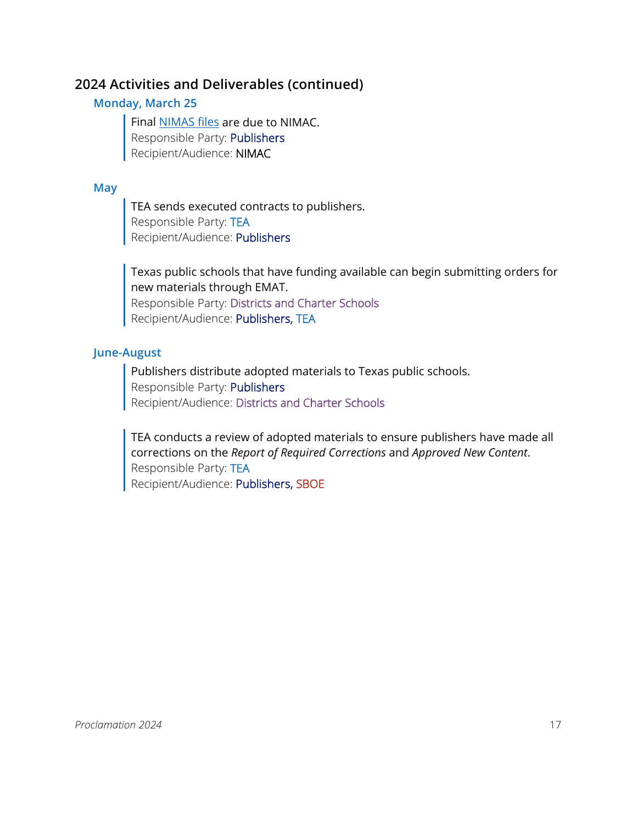### **Monday, March 25**

Final [NIMAS files](#page-22-1) are due to NIMAC. Responsible Party: Publishers Recipient/Audience: NIMAC

#### **May**

TEA sends executed contracts to publishers. Responsible Party: TEA Recipient/Audience: Publishers

Texas public schools that have funding available can begin submitting orders for new materials through EMAT. Responsible Party: Districts and Charter Schools Recipient/Audience: Publishers, TEA

### **June-August**

Publishers distribute adopted materials to Texas public schools. Responsible Party: Publishers Recipient/Audience: Districts and Charter Schools

TEA conducts a review of adopted materials to ensure publishers have made all corrections on the *Report of Required Corrections* and *Approved New Content*. Responsible Party: TEA Recipient/Audience: Publishers, SBOE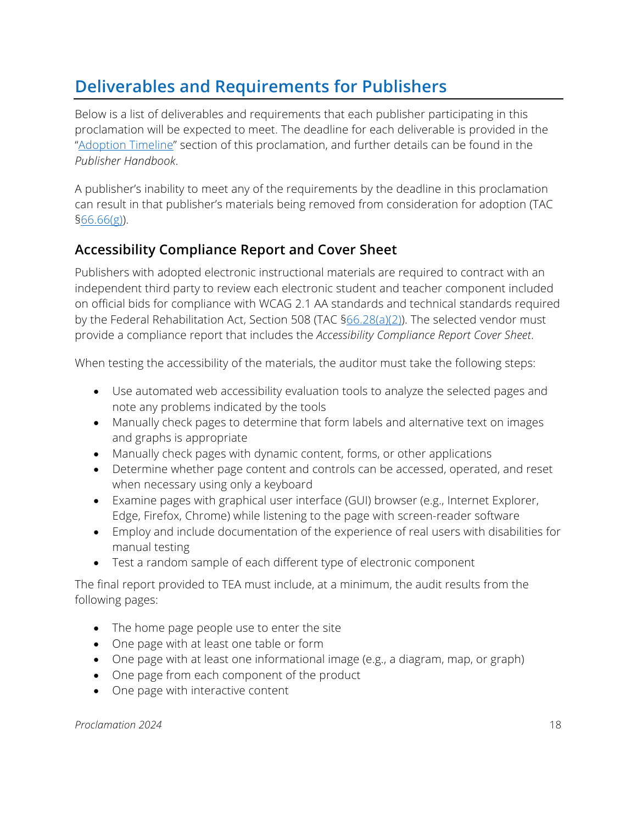# <span id="page-17-0"></span>**Deliverables and Requirements for Publishers**

Below is a list of deliverables and requirements that each publisher participating in this proclamation will be expected to meet. The deadline for each deliverable is provided in the ["Adoption Timeline"](#page-6-0) section of this proclamation, and further details can be found in the *Publisher Handbook*.

A publisher's inability to meet any of the requirements by the deadline in this proclamation can result in that publisher's materials being removed from consideration for adoption (TAC  $§66.66(g)$ ).

# **Accessibility Compliance Report and Cover Sheet**

Publishers with adopted electronic instructional materials are required to contract with an independent third party to review each electronic student and teacher component included on official bids for compliance with WCAG 2.1 AA standards and technical standards required by the Federal Rehabilitation Act, Section 508 (TAC  $\S66.28(a)(2)$ ). The selected vendor must provide a compliance report that includes the *Accessibility Compliance Report Cover Sheet*.

When testing the accessibility of the materials, the auditor must take the following steps:

- Use automated web accessibility evaluation tools to analyze the selected pages and note any problems indicated by the tools
- Manually check pages to determine that form labels and alternative text on images and graphs is appropriate
- Manually check pages with dynamic content, forms, or other applications
- Determine whether page content and controls can be accessed, operated, and reset when necessary using only a keyboard
- Examine pages with graphical user interface (GUI) browser (e.g., Internet Explorer, Edge, Firefox, Chrome) while listening to the page with screen-reader software
- Employ and include documentation of the experience of real users with disabilities for manual testing
- Test a random sample of each different type of electronic component

The final report provided to TEA must include, at a minimum, the audit results from the following pages:

- The home page people use to enter the site
- One page with at least one table or form
- One page with at least one informational image (e.g., a diagram, map, or graph)
- One page from each component of the product
- One page with interactive content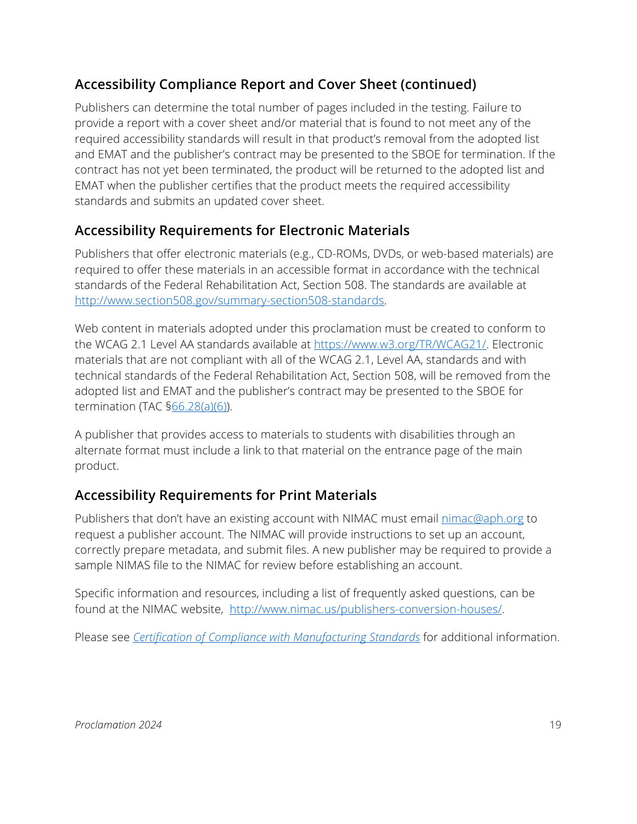# **Accessibility Compliance Report and Cover Sheet (continued)**

Publishers can determine the total number of pages included in the testing. Failure to provide a report with a cover sheet and/or material that is found to not meet any of the required accessibility standards will result in that product's removal from the adopted list and EMAT and the publisher's contract may be presented to the SBOE for termination. If the contract has not yet been terminated, the product will be returned to the adopted list and EMAT when the publisher certifies that the product meets the required accessibility standards and submits an updated cover sheet.

### **Accessibility Requirements for Electronic Materials**

Publishers that offer electronic materials (e.g., CD-ROMs, DVDs, or web-based materials) are required to offer these materials in an accessible format in accordance with the technical standards of the Federal Rehabilitation Act, Section 508. The standards are available at [http://www.section508.gov/summary-section508-standards.](http://www.section508.gov/summary-section508-standards)

Web content in materials adopted under this proclamation must be created to conform to the WCAG 2.1 Level AA standards available at [https://www.w3.org/TR/WCAG21/.](https://www.w3.org/TR/WCAG21/) Electronic materials that are not compliant with all of the WCAG 2.1, Level AA, standards and with technical standards of the Federal Rehabilitation Act, Section 508, will be removed from the adopted list and EMAT and the publisher's contract may be presented to the SBOE for termination (TAC [§66.28\(a\)\(6\)\)](https://texreg.sos.state.tx.us/public/readtac$ext.TacPage?sl=R&app=9&p_dir=&p_rloc=&p_tloc=&p_ploc=&pg=1&p_tac=&ti=19&pt=2&ch=66&rl=28).

A publisher that provides access to materials to students with disabilities through an alternate format must include a link to that material on the entrance page of the main product.

### **Accessibility Requirements for Print Materials**

Publishers that don't have an existing account with NIMAC must email *nimac@aph.org* to request a publisher account. The NIMAC will provide instructions to set up an account, correctly prepare metadata, and submit files. A new publisher may be required to provide a sample NIMAS file to the NIMAC for review before establishing an account.

Specific information and resources, including a list of frequently asked questions, can be found at the NIMAC website, [http://www.nimac.us/publishers-conversion-houses/.](http://www.nimac.us/publishers-conversion-houses/)

Please see *[Certification of Compliance with Manufacturing Standards](#page-19-4)* for additional information.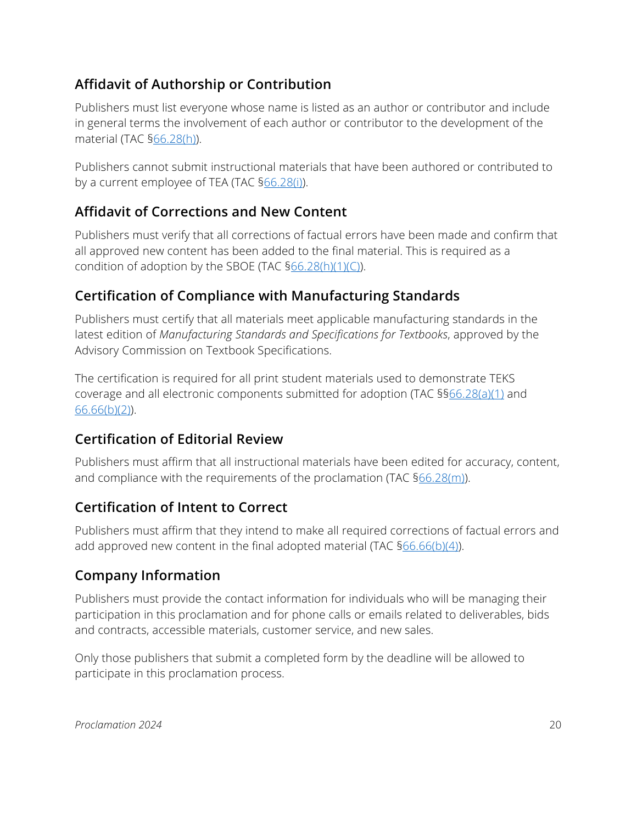# <span id="page-19-2"></span>**Affidavit of Authorship or Contribution**

Publishers must list everyone whose name is listed as an author or contributor and include in general terms the involvement of each author or contributor to the development of the material (TAC [§66.28\(h\)\)](https://texreg.sos.state.tx.us/public/readtac$ext.TacPage?sl=R&app=9&p_dir=&p_rloc=&p_tloc=&p_ploc=&pg=1&p_tac=&ti=19&pt=2&ch=66&rl=28).

Publishers cannot submit instructional materials that have been authored or contributed to by a current employee of TEA (TAC [§66.28\(i\)\)](https://texreg.sos.state.tx.us/public/readtac$ext.TacPage?sl=R&app=9&p_dir=&p_rloc=&p_tloc=&p_ploc=&pg=1&p_tac=&ti=19&pt=2&ch=66&rl=28).

### **Affidavit of Corrections and New Content**

Publishers must verify that all corrections of factual errors have been made and confirm that all approved new content has been added to the final material. This is required as a condition of adoption by the SBOE (TAC  $66.28(h)(1)(C)$ ).

# <span id="page-19-4"></span>**Certification of Compliance with Manufacturing Standards**

Publishers must certify that all materials meet applicable manufacturing standards in the latest edition of *Manufacturing Standards and Specifications for Textbooks*, approved by the Advisory Commission on Textbook Specifications.

The certification is required for all print student materials used to demonstrate TEKS coverage and all electronic components submitted for adoption (TAC §[§66.28\(a\)\(1\)](https://texreg.sos.state.tx.us/public/readtac$ext.TacPage?sl=R&app=9&p_dir=&p_rloc=&p_tloc=&p_ploc=&pg=1&p_tac=&ti=19&pt=2&ch=66&rl=28) and [66.66\(b\)\(2\)\)](https://texreg.sos.state.tx.us/public/readtac$ext.TacPage?sl=R&app=9&p_dir=&p_rloc=&p_tloc=&p_ploc=&pg=1&p_tac=&ti=19&pt=2&ch=66&rl=28).

# <span id="page-19-1"></span>**Certification of Editorial Review**

Publishers must affirm that all instructional materials have been edited for accuracy, content, and compliance with the requirements of the proclamation (TAC [§66.28\(m\)\)](https://texreg.sos.state.tx.us/public/readtac$ext.TacPage?sl=R&app=9&p_dir=&p_rloc=&p_tloc=&p_ploc=&pg=1&p_tac=&ti=19&pt=2&ch=66&rl=28).

# <span id="page-19-3"></span>**Certification of Intent to Correct**

Publishers must affirm that they intend to make all required corrections of factual errors and add approved new content in the final adopted material (TAC [§66.66\(b\)\(4\)\)](https://texreg.sos.state.tx.us/public/readtac$ext.TacPage?sl=R&app=9&p_dir=&p_rloc=&p_tloc=&p_ploc=&pg=1&p_tac=&ti=19&pt=2&ch=66&rl=66).

### <span id="page-19-0"></span>**Company Information**

Publishers must provide the contact information for individuals who will be managing their participation in this proclamation and for phone calls or emails related to deliverables, bids and contracts, accessible materials, customer service, and new sales.

Only those publishers that submit a completed form by the deadline will be allowed to participate in this proclamation process.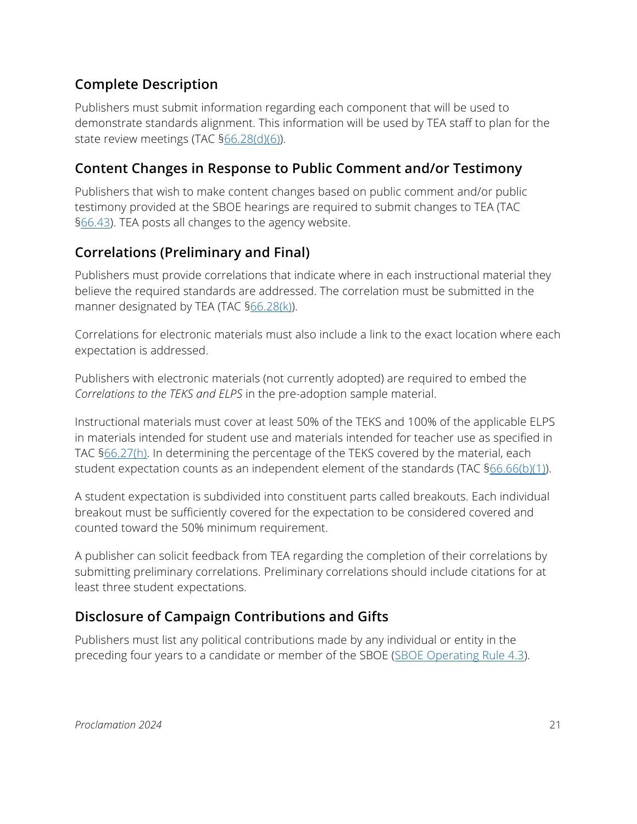# <span id="page-20-1"></span>**Complete Description**

Publishers must submit information regarding each component that will be used to demonstrate standards alignment. This information will be used by TEA staff to plan for the state review meetings (TAC [§66.28\(d\)\(6\)\)](https://texreg.sos.state.tx.us/public/readtac$ext.TacPage?sl=R&app=9&p_dir=&p_rloc=&p_tloc=&p_ploc=&pg=1&p_tac=&ti=19&pt=2&ch=66&rl=28).

### <span id="page-20-3"></span>**Content Changes in Response to Public Comment and/or Testimony**

Publishers that wish to make content changes based on public comment and/or public testimony provided at the SBOE hearings are required to submit changes to TEA (TAC [§66.43\)](https://texreg.sos.state.tx.us/public/readtac$ext.TacPage?sl=R&app=9&p_dir=&p_rloc=&p_tloc=&p_ploc=&pg=1&p_tac=&ti=19&pt=2&ch=66&rl=43). TEA posts all changes to the agency website.

# <span id="page-20-0"></span>**Correlations (Preliminary and Final)**

Publishers must provide correlations that indicate where in each instructional material they believe the required standards are addressed. The correlation must be submitted in the manner designated by TEA (TAC [§66.28\(k\)\)](https://texreg.sos.state.tx.us/public/readtac$ext.TacPage?sl=R&app=9&p_dir=&p_rloc=&p_tloc=&p_ploc=&pg=1&p_tac=&ti=19&pt=2&ch=66&rl=28).

Correlations for electronic materials must also include a link to the exact location where each expectation is addressed.

Publishers with electronic materials (not currently adopted) are required to embed the *Correlations to the TEKS and ELPS* in the pre-adoption sample material.

Instructional materials must cover at least 50% of the TEKS and 100% of the applicable ELPS in materials intended for student use and materials intended for teacher use as specified in TAC [§66.27\(h\).](https://texreg.sos.state.tx.us/public/readtac$ext.TacPage?sl=R&app=9&p_dir=&p_rloc=&p_tloc=&p_ploc=&pg=1&p_tac=&ti=19&pt=2&ch=66&rl=27) In determining the percentage of the TEKS covered by the material, each student expectation counts as an independent element of the standards (TAC  $\S66.66(b)(1)$ ).

A student expectation is subdivided into constituent parts called breakouts. Each individual breakout must be sufficiently covered for the expectation to be considered covered and counted toward the 50% minimum requirement.

A publisher can solicit feedback from TEA regarding the completion of their correlations by submitting preliminary correlations. Preliminary correlations should include citations for at least three student expectations.

# <span id="page-20-2"></span>**Disclosure of Campaign Contributions and Gifts**

Publishers must list any political contributions made by any individual or entity in the preceding four years to a candidate or member of the SBOE [\(SBOE Operating Rule 4.3\)](https://tea.texas.gov/about-tea/leadership/state-board-of-education/sboe-meetings/sboe-operating-rules-amended-9-13-19).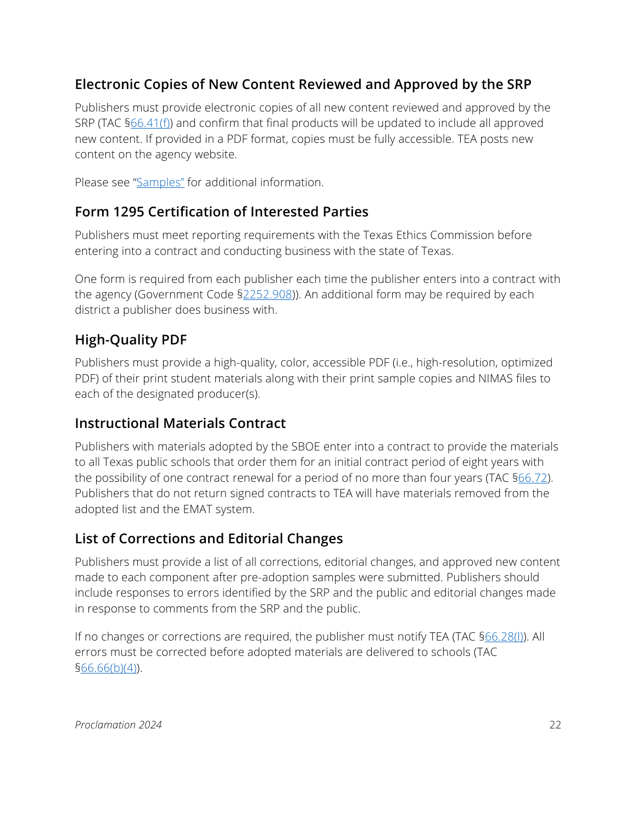# **Electronic Copies of New Content Reviewed and Approved by the SRP**

Publishers must provide electronic copies of all new content reviewed and approved by the SRP (TAC [§66.41\(f\)\)](https://texreg.sos.state.tx.us/public/readtac$ext.TacPage?sl=R&app=9&p_dir=&p_rloc=&p_tloc=&p_ploc=&pg=1&p_tac=&ti=19&pt=2&ch=66&rl=41) and confirm that final products will be updated to include all approved new content. If provided in a PDF format, copies must be fully accessible. TEA posts new content on the agency website.

Please see ["Samples"](#page-23-0) for additional information.

# <span id="page-21-2"></span>**Form 1295 Certification of Interested Parties**

Publishers must meet reporting requirements with the Texas Ethics Commission before entering into a contract and conducting business with the state of Texas.

One form is required from each publisher each time the publisher enters into a contract with the agency (Government Code [§2252.908\)](https://statutes.capitol.texas.gov/Docs/GV/htm/GV.2252.htm#2252.908)). An additional form may be required by each district a publisher does business with.

# <span id="page-21-1"></span>**High-Quality PDF**

Publishers must provide a high-quality, color, accessible PDF (i.e., high-resolution, optimized PDF) of their print student materials along with their print sample copies and NIMAS files to each of the designated producer(s).

### **Instructional Materials Contract**

Publishers with materials adopted by the SBOE enter into a contract to provide the materials to all Texas public schools that order them for an initial contract period of eight years with the possibility of one contract renewal for a period of no more than four years (TAC  $66.72$ ). Publishers that do not return signed contracts to TEA will have materials removed from the adopted list and the EMAT system.

# <span id="page-21-0"></span>**List of Corrections and Editorial Changes**

Publishers must provide a list of all corrections, editorial changes, and approved new content made to each component after pre-adoption samples were submitted. Publishers should include responses to errors identified by the SRP and the public and editorial changes made in response to comments from the SRP and the public.

If no changes or corrections are required, the publisher must notify TEA (TAC [§66.28\(l\)\)](https://texreg.sos.state.tx.us/public/readtac$ext.TacPage?sl=R&app=9&p_dir=&p_rloc=&p_tloc=&p_ploc=&pg=1&p_tac=&ti=19&pt=2&ch=66&rl=28). All errors must be corrected before adopted materials are delivered to schools (TAC [§66.66\(b\)\(4\)\)](https://texreg.sos.state.tx.us/public/readtac$ext.TacPage?sl=R&app=9&p_dir=&p_rloc=&p_tloc=&p_ploc=&pg=1&p_tac=&ti=19&pt=2&ch=66&rl=66).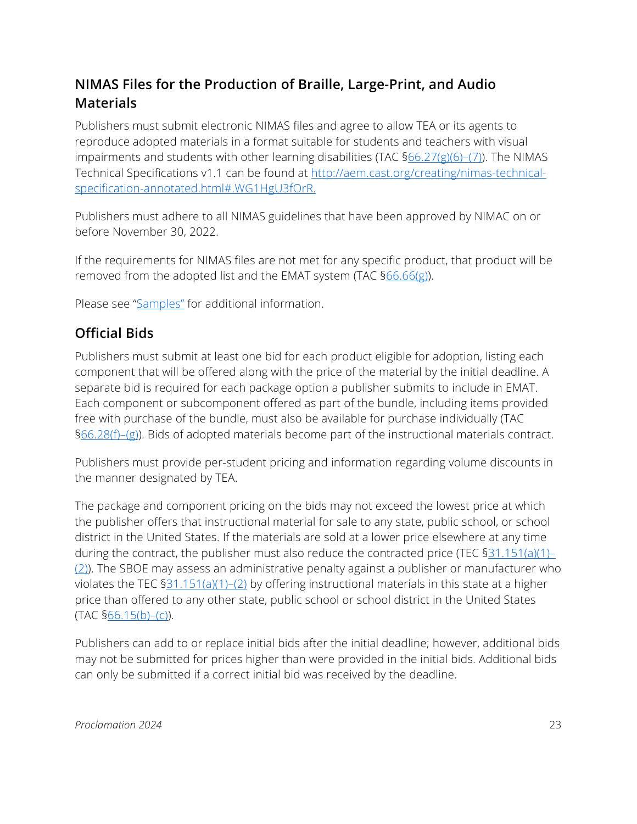# <span id="page-22-1"></span>**NIMAS Files for the Production of Braille, Large-Print, and Audio Materials**

Publishers must submit electronic NIMAS files and agree to allow TEA or its agents to reproduce adopted materials in a format suitable for students and teachers with visual impairments and students with other learning disabilities (TAC §66.27(g)(6)-(7)). The NIMAS Technical Specifications v1.1 can be found at [http://aem.cast.org/creating/nimas-technical](http://aem.cast.org/creating/nimas-technical-specification-annotated.html#.WG1HgU3fOrR)[specification-annotated.html#.WG1HgU3fOrR.](http://aem.cast.org/creating/nimas-technical-specification-annotated.html#.WG1HgU3fOrR)

Publishers must adhere to all NIMAS guidelines that have been approved by NIMAC on or before November 30, 2022.

If the requirements for NIMAS files are not met for any specific product, that product will be removed from the adopted list and the EMAT system (TAC [§66.66\(g\)\)](https://texreg.sos.state.tx.us/public/readtac$ext.TacPage?sl=R&app=9&p_dir=&p_rloc=&p_tloc=&p_ploc=&pg=1&p_tac=&ti=19&pt=2&ch=66&rl=66).

Please see ["Samples"](#page-23-0) for additional information.

### <span id="page-22-0"></span>**Official Bids**

Publishers must submit at least one bid for each product eligible for adoption, listing each component that will be offered along with the price of the material by the initial deadline. A separate bid is required for each package option a publisher submits to include in EMAT. Each component or subcomponent offered as part of the bundle, including items provided free with purchase of the bundle, must also be available for purchase individually (TAC [§66.28\(f\)–\(g\)\)](https://texreg.sos.state.tx.us/public/readtac$ext.TacPage?sl=R&app=9&p_dir=&p_rloc=&p_tloc=&p_ploc=&pg=1&p_tac=&ti=19&pt=2&ch=66&rl=28). Bids of adopted materials become part of the instructional materials contract.

Publishers must provide per-student pricing and information regarding volume discounts in the manner designated by TEA.

The package and component pricing on the bids may not exceed the lowest price at which the publisher offers that instructional material for sale to any state, public school, or school district in the United States. If the materials are sold at a lower price elsewhere at any time during the contract, the publisher must also reduce the contracted price (TEC  $\S 31.151(a)(1)$ – [\(2\)\)](https://statutes.capitol.texas.gov/Docs/ED/htm/ED.31.htm#31.151). The SBOE may assess an administrative penalty against a publisher or manufacturer who violates the TEC [§31.151\(a\)\(1\)–\(2\)](https://statutes.capitol.texas.gov/Docs/ED/htm/ED.31.htm#31.151) by offering instructional materials in this state at a higher price than offered to any other state, public school or school district in the United States  $(TAC$  [§66.15\(b\)–\(c\)\)](https://texreg.sos.state.tx.us/public/readtac$ext.TacPage?sl=R&app=9&p_dir=&p_rloc=&p_tloc=&p_ploc=&pg=1&p_tac=&ti=19&pt=2&ch=66&rl=15).

Publishers can add to or replace initial bids after the initial deadline; however, additional bids may not be submitted for prices higher than were provided in the initial bids. Additional bids can only be submitted if a correct initial bid was received by the deadline.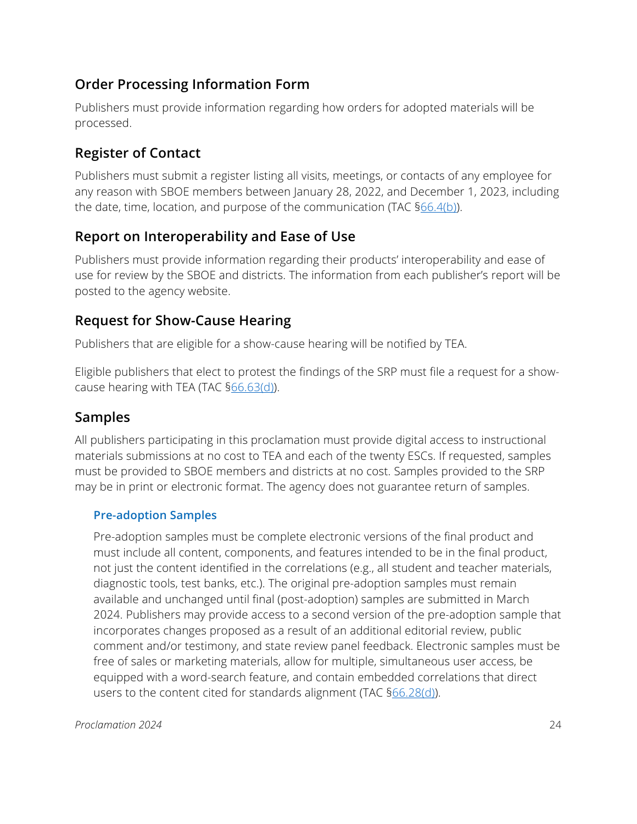# <span id="page-23-2"></span>**Order Processing Information Form**

Publishers must provide information regarding how orders for adopted materials will be processed.

# <span id="page-23-3"></span>**Register of Contact**

Publishers must submit a register listing all visits, meetings, or contacts of any employee for any reason with SBOE members between January 28, 2022, and December 1, 2023, including the date, time, location, and purpose of the communication (TAC [§66.4\(b\)\)](https://texreg.sos.state.tx.us/public/readtac$ext.TacPage?sl=R&app=9&p_dir=&p_rloc=&p_tloc=&p_ploc=&pg=1&p_tac=&ti=19&pt=2&ch=66&rl=4).

# <span id="page-23-1"></span>**Report on Interoperability and Ease of Use**

Publishers must provide information regarding their products' interoperability and ease of use for review by the SBOE and districts. The information from each publisher's report will be posted to the agency website.

### **Request for Show-Cause Hearing**

Publishers that are eligible for a show-cause hearing will be notified by TEA.

Eligible publishers that elect to protest the findings of the SRP must file a request for a show-cause hearing with TEA (TAC [§66.63\(d\)\)](https://texreg.sos.state.tx.us/public/readtac$ext.TacPage?sl=R&app=9&p_dir=&p_rloc=&p_tloc=&p_ploc=&pg=1&p_tac=&ti=19&pt=2&ch=66&rl=63).

### <span id="page-23-0"></span>**Samples**

All publishers participating in this proclamation must provide digital access to instructional materials submissions at no cost to TEA and each of the twenty ESCs. If requested, samples must be provided to SBOE members and districts at no cost. Samples provided to the SRP may be in print or electronic format. The agency does not guarantee return of samples.

### **Pre-adoption Samples**

Pre-adoption samples must be complete electronic versions of the final product and must include all content, components, and features intended to be in the final product, not just the content identified in the correlations (e.g., all student and teacher materials, diagnostic tools, test banks, etc.). The original pre-adoption samples must remain available and unchanged until final (post-adoption) samples are submitted in March 2024. Publishers may provide access to a second version of the pre-adoption sample that incorporates changes proposed as a result of an additional editorial review, public comment and/or testimony, and state review panel feedback. Electronic samples must be free of sales or marketing materials, allow for multiple, simultaneous user access, be equipped with a word-search feature, and contain embedded correlations that direct users to the content cited for standards alignment (TAC [§66.28\(d\)\)](https://texreg.sos.state.tx.us/public/readtac$ext.TacPage?sl=R&app=9&p_dir=&p_rloc=&p_tloc=&p_ploc=&pg=1&p_tac=&ti=19&pt=2&ch=66&rl=28).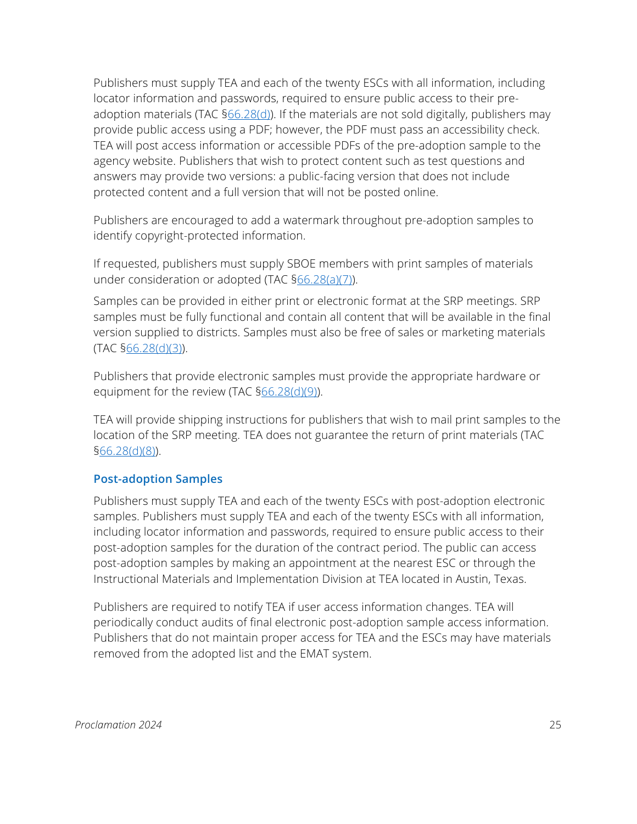Publishers must supply TEA and each of the twenty ESCs with all information, including locator information and passwords, required to ensure public access to their pre-adoption materials (TAC [§66.28\(d\)\)](https://texreg.sos.state.tx.us/public/readtac$ext.TacPage?sl=R&app=9&p_dir=&p_rloc=&p_tloc=&p_ploc=&pg=1&p_tac=&ti=19&pt=2&ch=66&rl=28). If the materials are not sold digitally, publishers may provide public access using a PDF; however, the PDF must pass an accessibility check. TEA will post access information or accessible PDFs of the pre-adoption sample to the agency website. Publishers that wish to protect content such as test questions and answers may provide two versions: a public-facing version that does not include protected content and a full version that will not be posted online.

Publishers are encouraged to add a watermark throughout pre-adoption samples to identify copyright-protected information.

If requested, publishers must supply SBOE members with print samples of materials under consideration or adopted (TAC [§66.28\(a\)\(7\)\)](https://texreg.sos.state.tx.us/public/readtac$ext.TacPage?sl=R&app=9&p_dir=&p_rloc=&p_tloc=&p_ploc=&pg=1&p_tac=&ti=19&pt=2&ch=66&rl=28).

Samples can be provided in either print or electronic format at the SRP meetings. SRP samples must be fully functional and contain all content that will be available in the final version supplied to districts. Samples must also be free of sales or marketing materials (TAC [§66.28\(d\)\(3\)\)](https://texreg.sos.state.tx.us/public/readtac$ext.TacPage?sl=R&app=9&p_dir=&p_rloc=&p_tloc=&p_ploc=&pg=1&p_tac=&ti=19&pt=2&ch=66&rl=28).

Publishers that provide electronic samples must provide the appropriate hardware or equipment for the review (TAC [§66.28\(d\)\(9\)\)](https://texreg.sos.state.tx.us/public/readtac$ext.TacPage?sl=R&app=9&p_dir=&p_rloc=&p_tloc=&p_ploc=&pg=1&p_tac=&ti=19&pt=2&ch=66&rl=28).

TEA will provide shipping instructions for publishers that wish to mail print samples to the location of the SRP meeting. TEA does not guarantee the return of print materials (TAC [§66.28\(d\)\(8\)\)](https://texreg.sos.state.tx.us/public/readtac$ext.TacPage?sl=R&app=9&p_dir=&p_rloc=&p_tloc=&p_ploc=&pg=1&p_tac=&ti=19&pt=2&ch=66&rl=28).

### **Post-adoption Samples**

Publishers must supply TEA and each of the twenty ESCs with post-adoption electronic samples. Publishers must supply TEA and each of the twenty ESCs with all information, including locator information and passwords, required to ensure public access to their post-adoption samples for the duration of the contract period. The public can access post-adoption samples by making an appointment at the nearest ESC or through the Instructional Materials and Implementation Division at TEA located in Austin, Texas.

Publishers are required to notify TEA if user access information changes. TEA will periodically conduct audits of final electronic post-adoption sample access information. Publishers that do not maintain proper access for TEA and the ESCs may have materials removed from the adopted list and the EMAT system.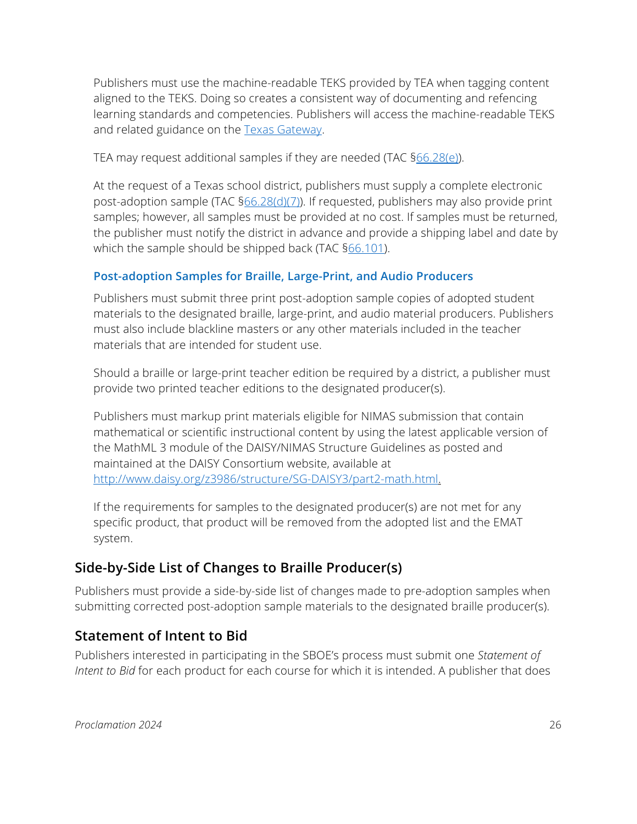Publishers must use the machine-readable TEKS provided by TEA when tagging content aligned to the TEKS. Doing so creates a consistent way of documenting and refencing learning standards and competencies. Publishers will access the machine-readable TEKS and related guidance on the [Texas Gateway.](https://teks.texasgateway.org/)

TEA may request additional samples if they are needed (TAC [§66.28\(e\)\)](https://texreg.sos.state.tx.us/public/readtac$ext.TacPage?sl=R&app=9&p_dir=&p_rloc=&p_tloc=&p_ploc=&pg=1&p_tac=&ti=19&pt=2&ch=66&rl=28).

At the request of a Texas school district, publishers must supply a complete electronic post-adoption sample (TAC  $\frac{666.28(d)(7)}{2}$ ). If requested, publishers may also provide print samples; however, all samples must be provided at no cost. If samples must be returned, the publisher must notify the district in advance and provide a shipping label and date by which the sample should be shipped back (TAC [§66.101\)](https://texreg.sos.state.tx.us/public/readtac$ext.TacPage?sl=R&app=9&p_dir=&p_rloc=&p_tloc=&p_ploc=&pg=1&p_tac=&ti=19&pt=2&ch=66&rl=101).

### **Post-adoption Samples for Braille, Large-Print, and Audio Producers**

Publishers must submit three print post-adoption sample copies of adopted student materials to the designated braille, large-print, and audio material producers. Publishers must also include blackline masters or any other materials included in the teacher materials that are intended for student use.

Should a braille or large-print teacher edition be required by a district, a publisher must provide two printed teacher editions to the designated producer(s).

Publishers must markup print materials eligible for NIMAS submission that contain mathematical or scientific instructional content by using the latest applicable version of the MathML 3 module of the DAISY/NIMAS Structure Guidelines as posted and maintained at the DAISY Consortium website, available at [http://www.daisy.org/z3986/structure/SG-DAISY3/part2-math.html.](http://www.daisy.org/z3986/structure/SG-DAISY3/part2-math.html)

If the requirements for samples to the designated producer(s) are not met for any specific product, that product will be removed from the adopted list and the EMAT system.

# <span id="page-25-1"></span>**Side-by-Side List of Changes to Braille Producer(s)**

Publishers must provide a side-by-side list of changes made to pre-adoption samples when submitting corrected post-adoption sample materials to the designated braille producer(s).

# <span id="page-25-0"></span>**Statement of Intent to Bid**

Publishers interested in participating in the SBOE's process must submit one *Statement of Intent to Bid* for each product for each course for which it is intended. A publisher that does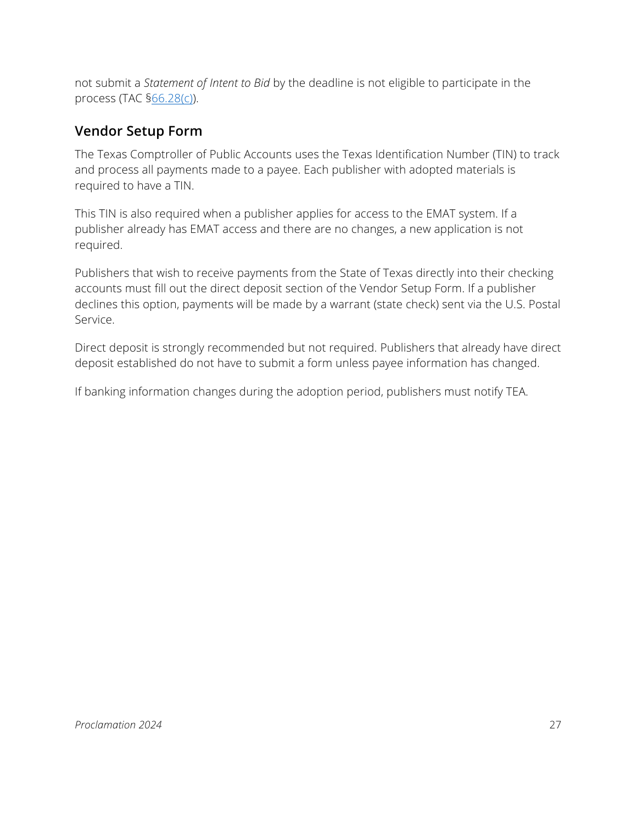not submit a *Statement of Intent to Bid* by the deadline is not eligible to participate in the process (TAC [§66.28\(c\)\)](https://texreg.sos.state.tx.us/public/readtac$ext.TacPage?sl=R&app=9&p_dir=&p_rloc=&p_tloc=&p_ploc=&pg=1&p_tac=&ti=19&pt=2&ch=66&rl=28).

### <span id="page-26-0"></span>**Vendor Setup Form**

The Texas Comptroller of Public Accounts uses the Texas Identification Number (TIN) to track and process all payments made to a payee. Each publisher with adopted materials is required to have a TIN.

This TIN is also required when a publisher applies for access to the EMAT system. If a publisher already has EMAT access and there are no changes, a new application is not required.

Publishers that wish to receive payments from the State of Texas directly into their checking accounts must fill out the direct deposit section of the Vendor Setup Form. If a publisher declines this option, payments will be made by a warrant (state check) sent via the U.S. Postal Service.

Direct deposit is strongly recommended but not required. Publishers that already have direct deposit established do not have to submit a form unless payee information has changed.

If banking information changes during the adoption period, publishers must notify TEA.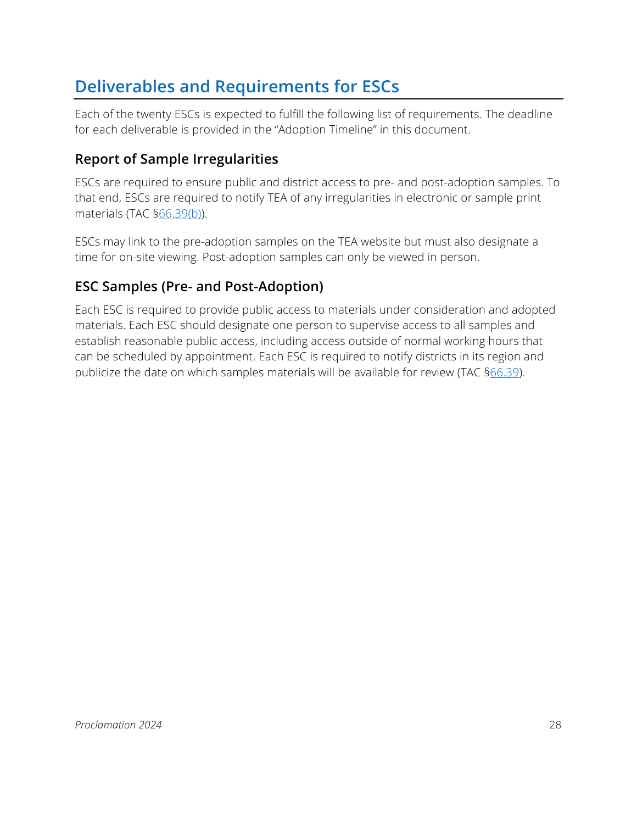# <span id="page-27-0"></span>**Deliverables and Requirements for ESCs**

Each of the twenty ESCs is expected to fulfill the following list of requirements. The deadline for each deliverable is provided in the "Adoption Timeline" in this document.

# <span id="page-27-2"></span>**Report of Sample Irregularities**

ESCs are required to ensure public and district access to pre- and post-adoption samples. To that end, ESCs are required to notify TEA of any irregularities in electronic or sample print materials (TAC [§66.39\(b\)\)](https://texreg.sos.state.tx.us/public/readtac$ext.TacPage?sl=R&app=9&p_dir=&p_rloc=&p_tloc=&p_ploc=&pg=1&p_tac=&ti=19&pt=2&ch=66&rl=39).

ESCs may link to the pre-adoption samples on the TEA website but must also designate a time for on-site viewing. Post-adoption samples can only be viewed in person.

# <span id="page-27-1"></span>**ESC Samples (Pre- and Post-Adoption)**

Each ESC is required to provide public access to materials under consideration and adopted materials. Each ESC should designate one person to supervise access to all samples and establish reasonable public access, including access outside of normal working hours that can be scheduled by appointment. Each ESC is required to notify districts in its region and publicize the date on which samples materials will be available for review (TAC [§66.39\)](https://texreg.sos.state.tx.us/public/readtac$ext.TacPage?sl=R&app=9&p_dir=&p_rloc=&p_tloc=&p_ploc=&pg=1&p_tac=&ti=19&pt=2&ch=66&rl=39).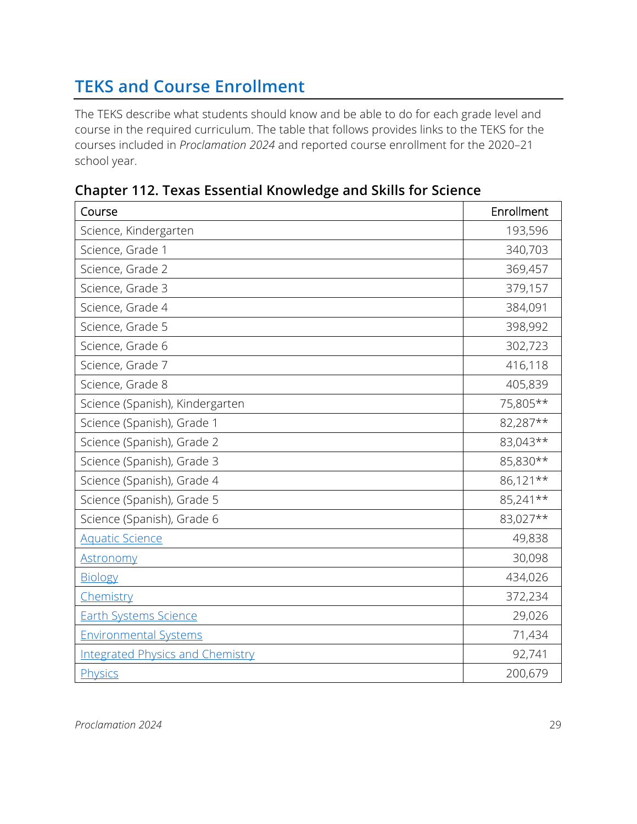# <span id="page-28-0"></span>**TEKS and Course Enrollment**

The TEKS describe what students should know and be able to do for each grade level and course in the required curriculum. The table that follows provides links to the TEKS for the courses included in *Proclamation 2024* and reported course enrollment for the 2020–21 school year.

| Course                                  | Enrollment |
|-----------------------------------------|------------|
| Science, Kindergarten                   | 193,596    |
| Science, Grade 1                        | 340,703    |
| Science, Grade 2                        | 369,457    |
| Science, Grade 3                        | 379,157    |
| Science, Grade 4                        | 384,091    |
| Science, Grade 5                        | 398,992    |
| Science, Grade 6                        | 302,723    |
| Science, Grade 7                        | 416,118    |
| Science, Grade 8                        | 405,839    |
| Science (Spanish), Kindergarten         | 75,805**   |
| Science (Spanish), Grade 1              | 82,287**   |
| Science (Spanish), Grade 2              | 83,043**   |
| Science (Spanish), Grade 3              | 85,830**   |
| Science (Spanish), Grade 4              | 86,121**   |
| Science (Spanish), Grade 5              | 85,241**   |
| Science (Spanish), Grade 6              | 83,027**   |
| <b>Aquatic Science</b>                  | 49,838     |
| <b>Astronomy</b>                        | 30,098     |
| <b>Biology</b>                          | 434,026    |
| Chemistry                               | 372,234    |
| <b>Earth Systems Science</b>            | 29,026     |
| <b>Environmental Systems</b>            | 71,434     |
| <b>Integrated Physics and Chemistry</b> | 92,741     |
| Physics                                 | 200,679    |

# **Chapter 112. Texas Essential Knowledge and Skills for Science**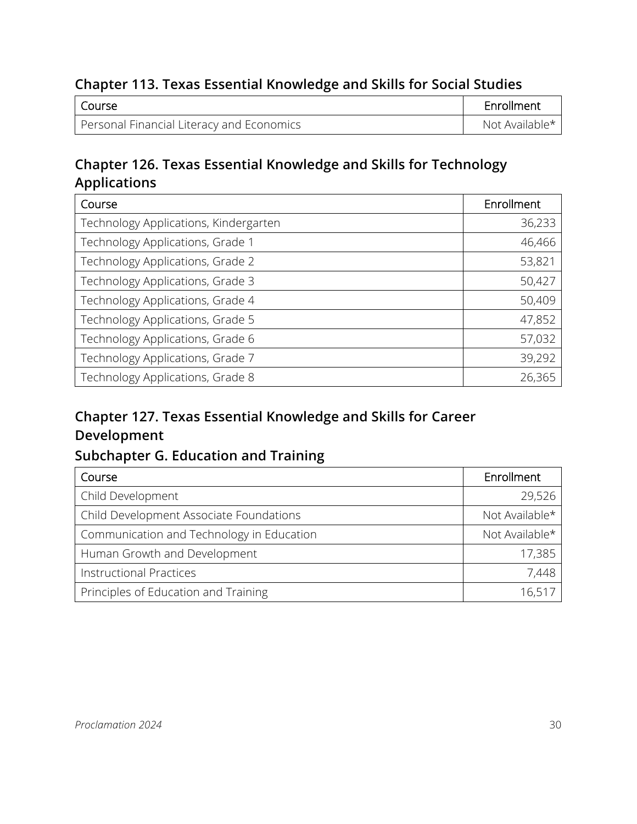### **Chapter 113. Texas Essential Knowledge and Skills for Social Studies**

| l Course                                  | Enrollment     |
|-------------------------------------------|----------------|
| Personal Financial Literacy and Economics | Not Available* |

# **Chapter 126. Texas Essential Knowledge and Skills for Technology Applications**

| Course                                | Enrollment |
|---------------------------------------|------------|
| Technology Applications, Kindergarten | 36,233     |
| Technology Applications, Grade 1      | 46,466     |
| Technology Applications, Grade 2      | 53,821     |
| Technology Applications, Grade 3      | 50,427     |
| Technology Applications, Grade 4      | 50,409     |
| Technology Applications, Grade 5      | 47,852     |
| Technology Applications, Grade 6      | 57,032     |
| Technology Applications, Grade 7      | 39,292     |
| Technology Applications, Grade 8      | 26,365     |

# **Chapter 127. Texas Essential Knowledge and Skills for Career Development**

# **Subchapter G. Education and Training**

| Course                                    | Enrollment     |
|-------------------------------------------|----------------|
| Child Development                         | 29,526         |
| Child Development Associate Foundations   | Not Available* |
| Communication and Technology in Education | Not Available* |
| Human Growth and Development              | 17,385         |
| <b>Instructional Practices</b>            | 7,448          |
| Principles of Education and Training      | 16,517         |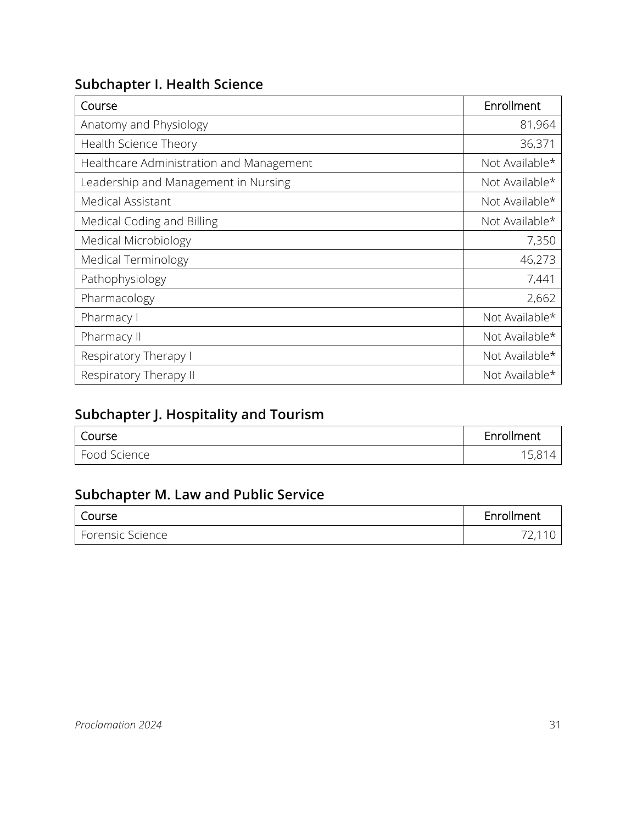# **Subchapter I. Health Science**

| Course                                   | Enrollment     |
|------------------------------------------|----------------|
| Anatomy and Physiology                   | 81,964         |
| Health Science Theory                    | 36,371         |
| Healthcare Administration and Management | Not Available* |
| Leadership and Management in Nursing     | Not Available* |
| Medical Assistant                        | Not Available* |
| Medical Coding and Billing               | Not Available* |
| Medical Microbiology                     | 7,350          |
| Medical Terminology                      | 46,273         |
| Pathophysiology                          | 7,441          |
| Pharmacology                             | 2,662          |
| Pharmacy I                               | Not Available* |
| Pharmacy II                              | Not Available* |
| Respiratory Therapy I                    | Not Available* |
| Respiratory Therapy II                   | Not Available* |

# **Subchapter J. Hospitality and Tourism**

| $\sim$                                      | <b>A</b> 11 |
|---------------------------------------------|-------------|
| Course                                      | Enrollment  |
| $\overline{\phantom{0}}$<br>Science<br>Food | $J_{I}$ U   |

# **Subchapter M. Law and Public Service**

| l Course         | Enrollment |
|------------------|------------|
| Forensic Science | 77 11      |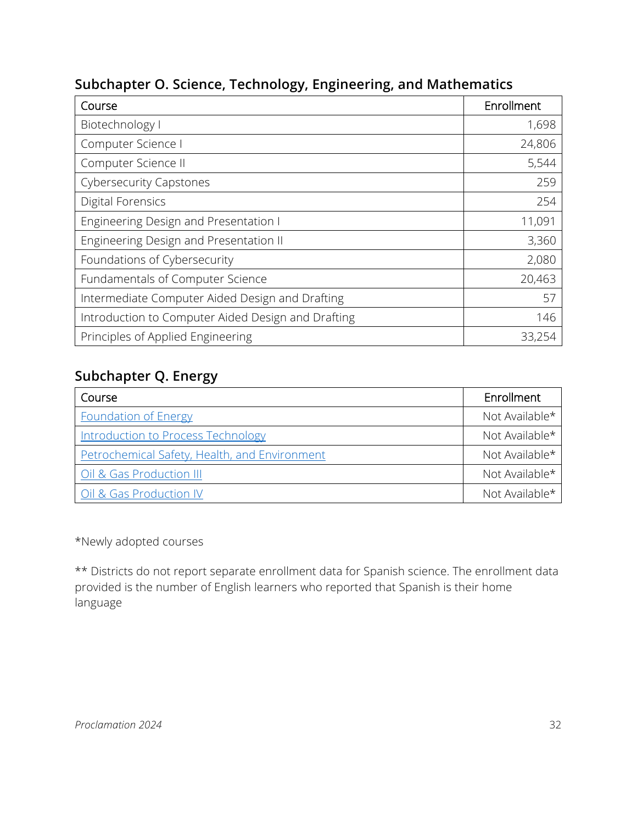| Course                                             | Enrollment |
|----------------------------------------------------|------------|
| Biotechnology I                                    | 1,698      |
| Computer Science I                                 | 24,806     |
| Computer Science II                                | 5,544      |
| <b>Cybersecurity Capstones</b>                     | 259        |
| <b>Digital Forensics</b>                           | 254        |
| Engineering Design and Presentation I              | 11,091     |
| Engineering Design and Presentation II             | 3,360      |
| Foundations of Cybersecurity                       | 2,080      |
| Fundamentals of Computer Science                   | 20,463     |
| Intermediate Computer Aided Design and Drafting    | 57         |
| Introduction to Computer Aided Design and Drafting | 146        |
| Principles of Applied Engineering                  | 33,254     |

### **Subchapter O. Science, Technology, Engineering, and Mathematics**

# **Subchapter Q. Energy**

| Course                                        | Enrollment     |
|-----------------------------------------------|----------------|
| <b>Foundation of Energy</b>                   | Not Available* |
| <b>Introduction to Process Technology</b>     | Not Available* |
| Petrochemical Safety, Health, and Environment | Not Available* |
| Oil & Gas Production III                      | Not Available* |
| Oil & Gas Production IV                       | Not Available* |

\*Newly adopted courses

\*\* Districts do not report separate enrollment data for Spanish science. The enrollment data provided is the number of English learners who reported that Spanish is their home language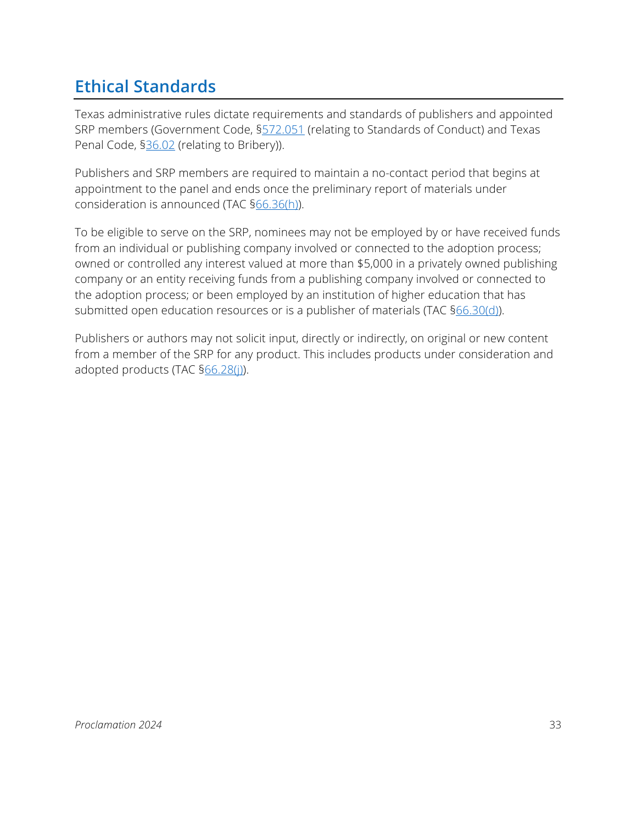# <span id="page-32-0"></span>**Ethical Standards**

Texas administrative rules dictate requirements and standards of publishers and appointed SRP members (Government Code, [§572.051](https://statutes.capitol.texas.gov/Docs/GV/htm/GV.572.htm) (relating to Standards of Conduct) and Texas Penal Code, [§36.02](https://statutes.capitol.texas.gov/Docs/PE/htm/PE.36.htm) (relating to Bribery)).

Publishers and SRP members are required to maintain a no-contact period that begins at appointment to the panel and ends once the preliminary report of materials under consideration is announced (TAC [§66.36\(h\)\)](https://texreg.sos.state.tx.us/public/readtac$ext.TacPage?sl=R&app=9&p_dir=&p_rloc=&p_tloc=&p_ploc=&pg=1&p_tac=&ti=19&pt=2&ch=66&rl=36).

To be eligible to serve on the SRP, nominees may not be employed by or have received funds from an individual or publishing company involved or connected to the adoption process; owned or controlled any interest valued at more than \$5,000 in a privately owned publishing company or an entity receiving funds from a publishing company involved or connected to the adoption process; or been employed by an institution of higher education that has submitted open education resources or is a publisher of materials (TAC [§66.30\(d\)\)](https://texreg.sos.state.tx.us/public/readtac$ext.TacPage?sl=R&app=9&p_dir=&p_rloc=&p_tloc=&p_ploc=&pg=1&p_tac=&ti=19&pt=2&ch=66&rl=30).

Publishers or authors may not solicit input, directly or indirectly, on original or new content from a member of the SRP for any product. This includes products under consideration and adopted products (TAC §66.28(i)).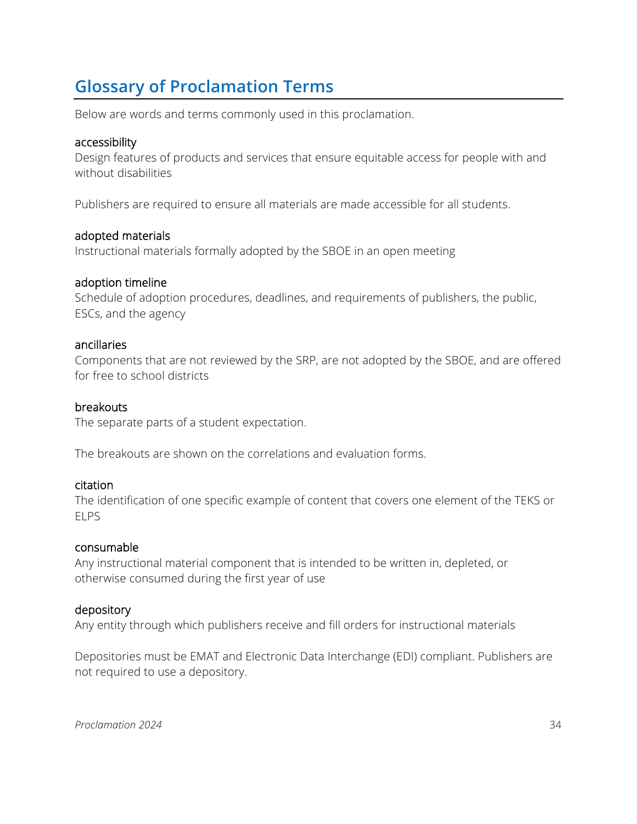# <span id="page-33-0"></span>**Glossary of Proclamation Terms**

Below are words and terms commonly used in this proclamation.

#### accessibility

Design features of products and services that ensure equitable access for people with and without disabilities

Publishers are required to ensure all materials are made accessible for all students.

#### adopted materials

Instructional materials formally adopted by the SBOE in an open meeting

### adoption timeline

Schedule of adoption procedures, deadlines, and requirements of publishers, the public, ESCs, and the agency

#### ancillaries

Components that are not reviewed by the SRP, are not adopted by the SBOE, and are offered for free to school districts

### breakouts

The separate parts of a student expectation.

The breakouts are shown on the correlations and evaluation forms.

#### citation

The identification of one specific example of content that covers one element of the TEKS or ELPS

#### consumable

Any instructional material component that is intended to be written in, depleted, or otherwise consumed during the first year of use

#### depository

Any entity through which publishers receive and fill orders for instructional materials

Depositories must be EMAT and Electronic Data Interchange (EDI) compliant. Publishers are not required to use a depository.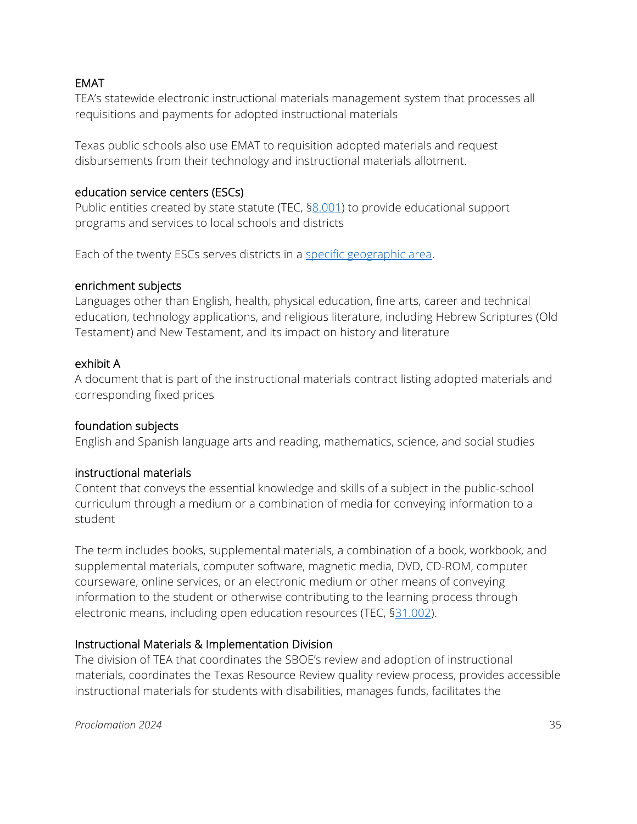### EMAT

TEA's statewide electronic instructional materials management system that processes all requisitions and payments for adopted instructional materials

Texas public schools also use EMAT to requisition adopted materials and request disbursements from their technology and instructional materials allotment.

#### education service centers (ESCs)

Public entities created by state statute (TEC, [§8.001\)](https://statutes.capitol.texas.gov/Docs/ED/pdf/ED.8.pdf) to provide educational support programs and services to local schools and districts

Each of the twenty ESCs serves districts in a [specific geographic area.](https://tea.texas.gov/About_TEA/Other_Services/Education_Service_Centers/)

### enrichment subjects

Languages other than English, health, physical education, fine arts, career and technical education, technology applications, and religious literature, including Hebrew Scriptures (Old Testament) and New Testament, and its impact on history and literature

#### exhibit A

A document that is part of the instructional materials contract listing adopted materials and corresponding fixed prices

### foundation subjects

English and Spanish language arts and reading, mathematics, science, and social studies

#### instructional materials

Content that conveys the essential knowledge and skills of a subject in the public-school curriculum through a medium or a combination of media for conveying information to a student

The term includes books, supplemental materials, a combination of a book, workbook, and supplemental materials, computer software, magnetic media, DVD, CD-ROM, computer courseware, online services, or an electronic medium or other means of conveying information to the student or otherwise contributing to the learning process through electronic means, including open education resources (TEC, [§31.002\)](https://statutes.capitol.texas.gov/Docs/ED/htm/ED.31.htm#31.002).

### Instructional Materials & Implementation Division

The division of TEA that coordinates the SBOE's review and adoption of instructional materials, coordinates the Texas Resource Review quality review process, provides accessible instructional materials for students with disabilities, manages funds, facilitates the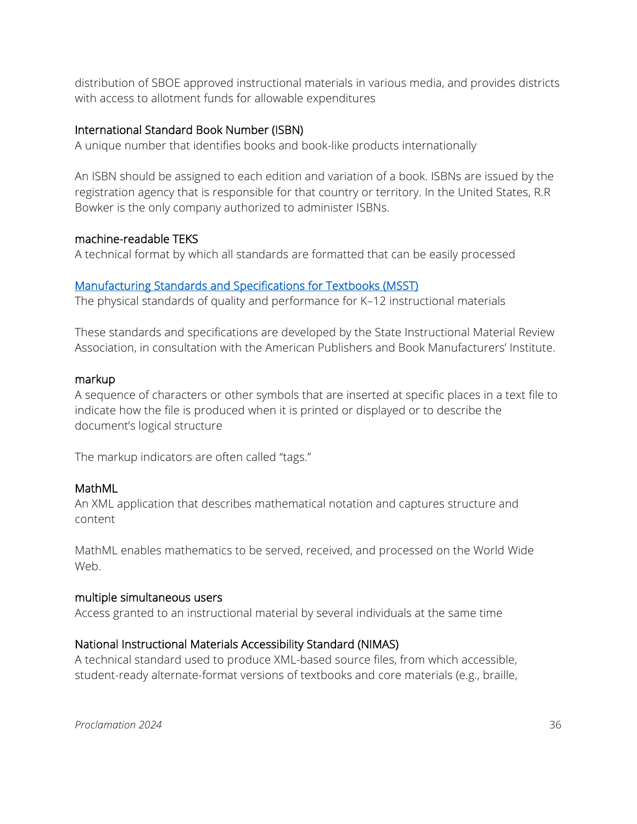distribution of SBOE approved instructional materials in various media, and provides districts with access to allotment funds for allowable expenditures

#### International Standard Book Number (ISBN)

A unique number that identifies books and book-like products internationally

An ISBN should be assigned to each edition and variation of a book. ISBNs are issued by the registration agency that is responsible for that country or territory. In the United States, R.R Bowker is the only company authorized to administer ISBNs.

#### machine-readable TEKS

A technical format by which all standards are formatted that can be easily processed

#### [Manufacturing Standards and Specifications for Textbooks \(MSST\)](https://www.bmibook.com/msst)

The physical standards of quality and performance for K–12 instructional materials

These standards and specifications are developed by the State Instructional Material Review Association, in consultation with the American Publishers and Book Manufacturers' Institute.

#### markup

A sequence of characters or other symbols that are inserted at specific places in a text file to indicate how the file is produced when it is printed or displayed or to describe the document's logical structure

The markup indicators are often called "tags."

#### MathML

An XML application that describes mathematical notation and captures structure and content

MathML enables mathematics to be served, received, and processed on the World Wide Web.

#### multiple simultaneous users

Access granted to an instructional material by several individuals at the same time

#### National Instructional Materials Accessibility Standard (NIMAS)

A technical standard used to produce XML-based source files, from which accessible, student-ready alternate-format versions of textbooks and core materials (e.g., braille,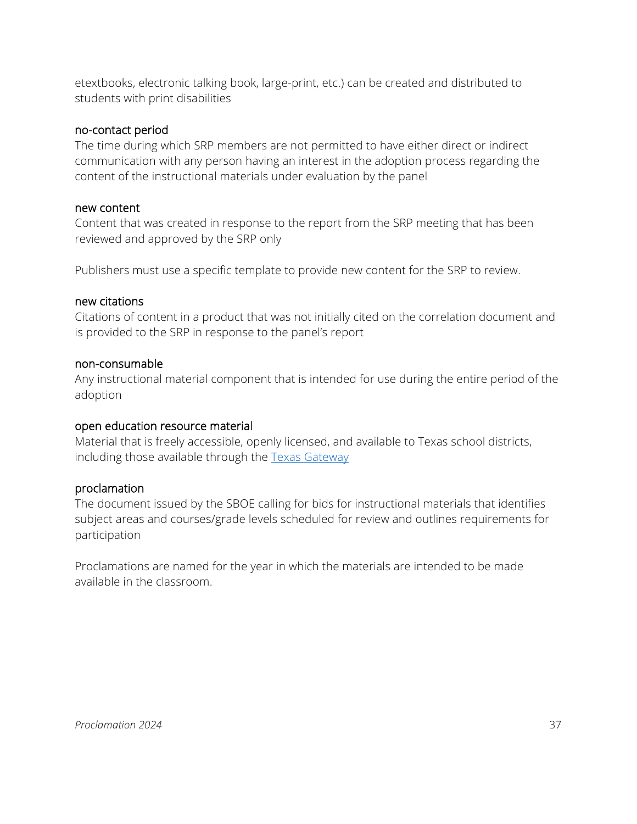etextbooks, electronic talking book, large-print, etc.) can be created and distributed to students with print disabilities

#### no-contact period

The time during which SRP members are not permitted to have either direct or indirect communication with any person having an interest in the adoption process regarding the content of the instructional materials under evaluation by the panel

#### new content

Content that was created in response to the report from the SRP meeting that has been reviewed and approved by the SRP only

Publishers must use a specific template to provide new content for the SRP to review.

#### new citations

Citations of content in a product that was not initially cited on the correlation document and is provided to the SRP in response to the panel's report

#### non-consumable

Any instructional material component that is intended for use during the entire period of the adoption

#### open education resource material

Material that is freely accessible, openly licensed, and available to Texas school districts, including those available through the [Texas Gateway](https://www.texasgateway.org/)

#### proclamation

The document issued by the SBOE calling for bids for instructional materials that identifies subject areas and courses/grade levels scheduled for review and outlines requirements for participation

<span id="page-36-0"></span>Proclamations are named for the year in which the materials are intended to be made available in the classroom.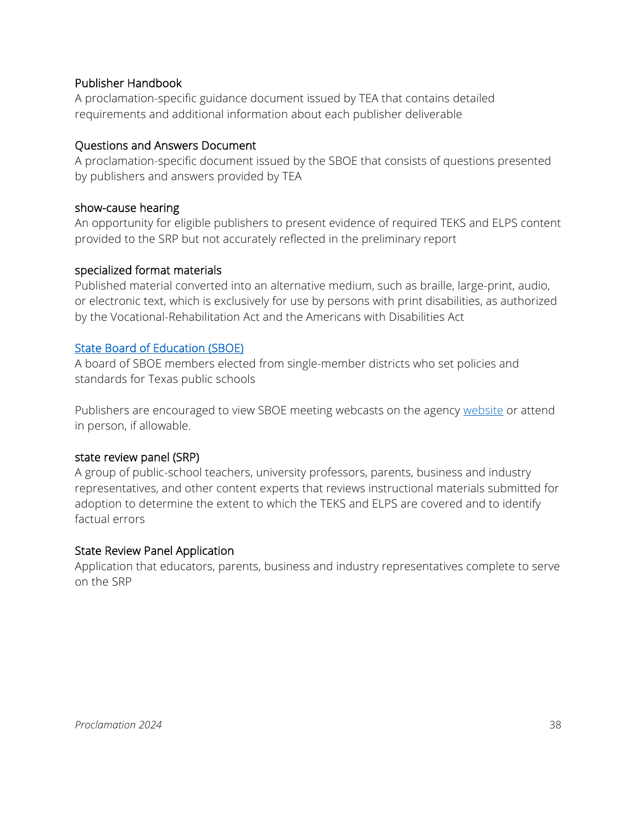### Publisher Handbook

A proclamation-specific guidance document issued by TEA that contains detailed requirements and additional information about each publisher deliverable

### <span id="page-37-1"></span>Questions and Answers Document

A proclamation-specific document issued by the SBOE that consists of questions presented by publishers and answers provided by TEA

#### <span id="page-37-3"></span>show-cause hearing

An opportunity for eligible publishers to present evidence of required TEKS and ELPS content provided to the SRP but not accurately reflected in the preliminary report

### specialized format materials

Published material converted into an alternative medium, such as braille, large-print, audio, or electronic text, which is exclusively for use by persons with print disabilities, as authorized by the Vocational-Rehabilitation Act and the Americans with Disabilities Act

### <span id="page-37-2"></span>[State Board of Education \(SBOE\)](https://tea.texas.gov/about-tea/leadership/state-board-of-education)

A board of SBOE members elected from single-member districts who set policies and standards for Texas public schools

Publishers are encouraged to view SBOE meeting webcasts on the agency [website](http://www.adminmonitor.com/tx/tea/) or attend in person, if allowable.

#### state review panel (SRP)

A group of public-school teachers, university professors, parents, business and industry representatives, and other content experts that reviews instructional materials submitted for adoption to determine the extent to which the TEKS and ELPS are covered and to identify factual errors

#### <span id="page-37-0"></span>State Review Panel Application

Application that educators, parents, business and industry representatives complete to serve on the SRP